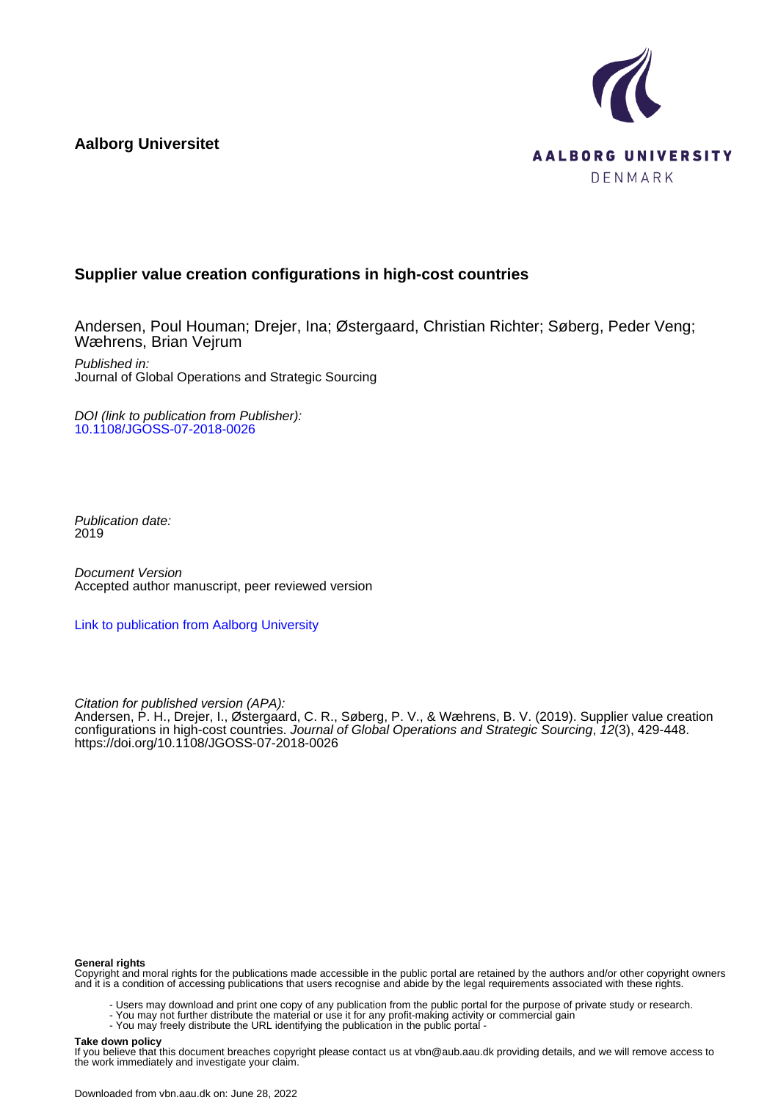**Aalborg Universitet**



# **Supplier value creation configurations in high-cost countries**

Andersen, Poul Houman; Drejer, Ina; Østergaard, Christian Richter; Søberg, Peder Veng; Wæhrens, Brian Vejrum

Published in: Journal of Global Operations and Strategic Sourcing

DOI (link to publication from Publisher): [10.1108/JGOSS-07-2018-0026](https://doi.org/10.1108/JGOSS-07-2018-0026)

Publication date: 2019

Document Version Accepted author manuscript, peer reviewed version

[Link to publication from Aalborg University](https://vbn.aau.dk/en/publications/7c2a6e27-48cf-477f-a76d-78aa8bcff50b)

Citation for published version (APA):

Andersen, P. H., Drejer, I., Østergaard, C. R., Søberg, P. V., & Wæhrens, B. V. (2019). Supplier value creation configurations in high-cost countries. Journal of Global Operations and Strategic Sourcing, 12(3), 429-448. <https://doi.org/10.1108/JGOSS-07-2018-0026>

#### **General rights**

Copyright and moral rights for the publications made accessible in the public portal are retained by the authors and/or other copyright owners and it is a condition of accessing publications that users recognise and abide by the legal requirements associated with these rights.

- Users may download and print one copy of any publication from the public portal for the purpose of private study or research.
- You may not further distribute the material or use it for any profit-making activity or commercial gain
	- You may freely distribute the URL identifying the publication in the public portal -

#### **Take down policy**

If you believe that this document breaches copyright please contact us at vbn@aub.aau.dk providing details, and we will remove access to the work immediately and investigate your claim.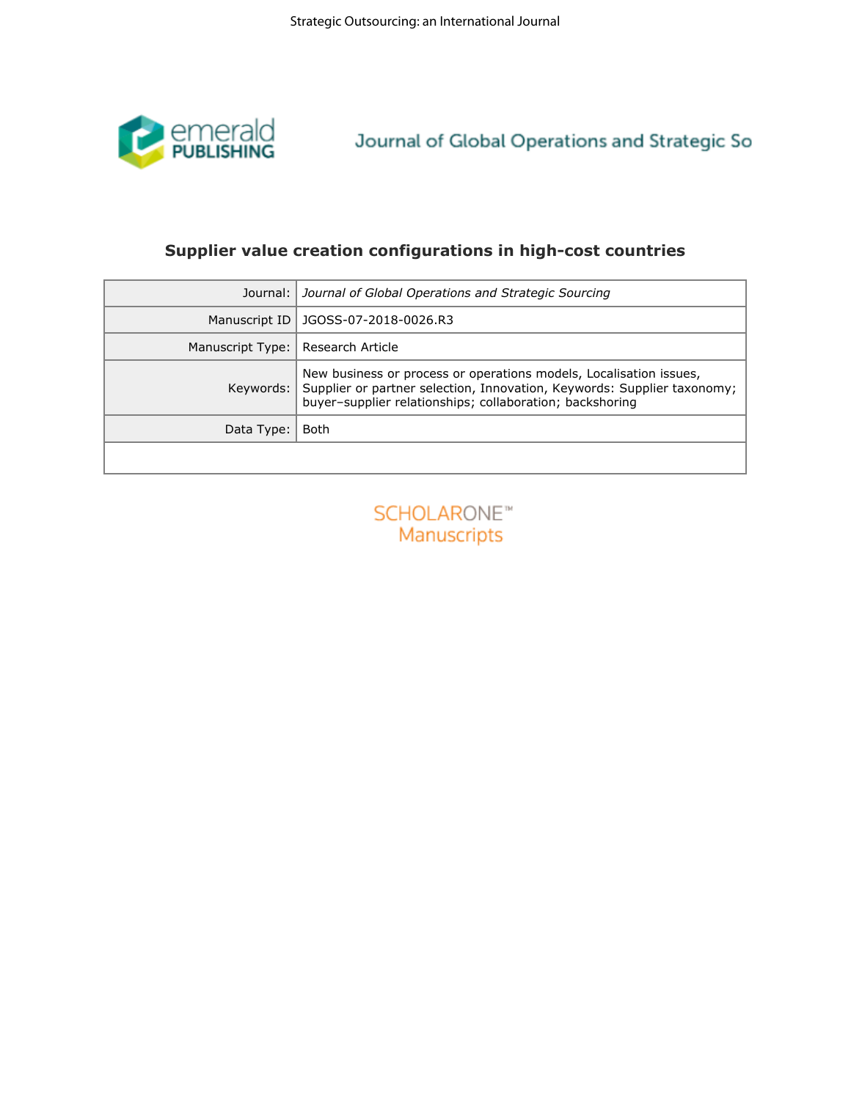

| emerald<br>PUBLISHING | Journal of Global Operations and Strategic So                                                                                                                                                             |
|-----------------------|-----------------------------------------------------------------------------------------------------------------------------------------------------------------------------------------------------------|
|                       | Supplier value creation configurations in high-cost countries                                                                                                                                             |
| Journal:              | Journal of Global Operations and Strategic Sourcing                                                                                                                                                       |
| Manuscript ID         | JGOSS-07-2018-0026.R3                                                                                                                                                                                     |
| Manuscript Type:      | Research Article                                                                                                                                                                                          |
| Keywords:             | New business or process or operations models, Localisation issues,<br>Supplier or partner selection, Innovation, Keywords: Supplier taxonomy;<br>buyer-supplier relationships; collaboration; backshoring |
| Data Type:            | Both                                                                                                                                                                                                      |
|                       |                                                                                                                                                                                                           |
|                       | Manuscripts                                                                                                                                                                                               |
|                       |                                                                                                                                                                                                           |
|                       |                                                                                                                                                                                                           |
|                       |                                                                                                                                                                                                           |
|                       |                                                                                                                                                                                                           |
|                       |                                                                                                                                                                                                           |
|                       |                                                                                                                                                                                                           |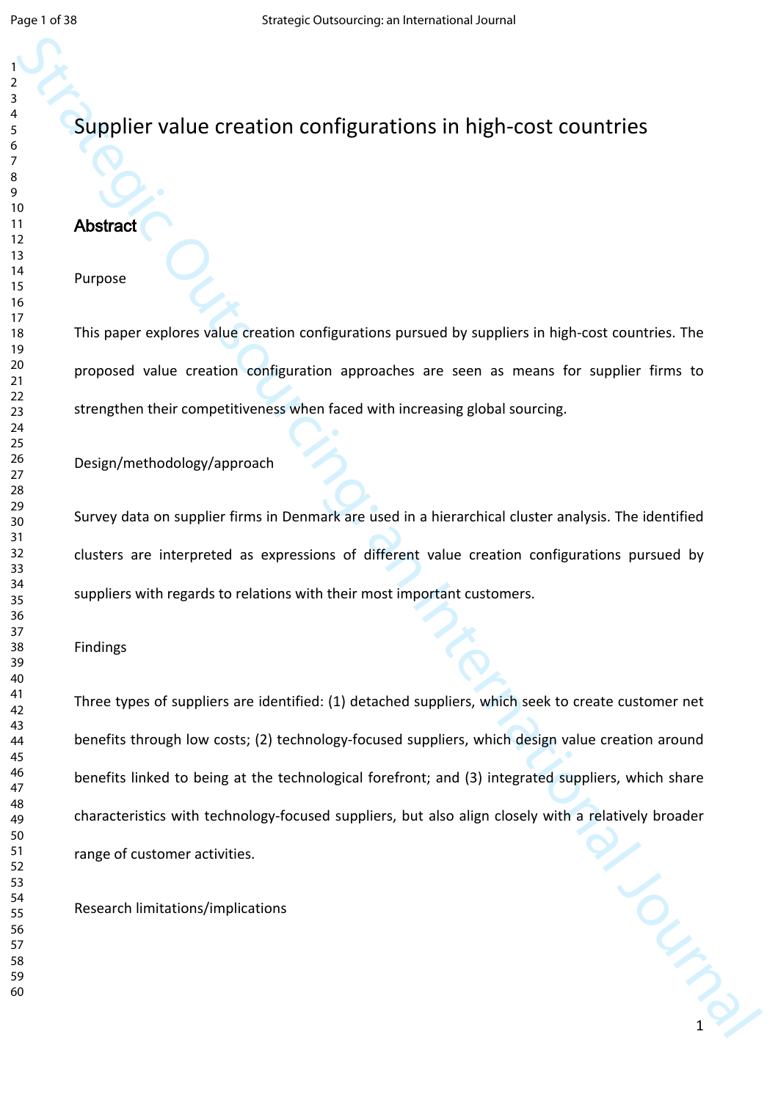# Supplier value creation configurations in high-cost countries

# **Abstract**

#### Purpose

This paper explores value creation configurations pursued by suppliers in high-cost countries. The proposed value creation configuration approaches are seen as means for supplier firms to strengthen their competitiveness when faced with increasing global sourcing.

Design/methodology/approach

Survey data on supplier firms in Denmark are used in a hierarchical cluster analysis. The identified clusters are interpreted as expressions of different value creation configurations pursued by suppliers with regards to relations with their most important customers.

#### Findings

Supplier value creation configurations in high-cost countries<br>
Supplier value creation configurations pursue by supples in high-cost countries. The<br>
Propose<br>
This pape explores value creation configurations pursues by supp Three types of suppliers are identified: (1) detached suppliers, which seek to create customer net benefits through low costs; (2) technology-focused suppliers, which design value creation around benefits linked to being at the technological forefront; and (3) integrated suppliers, which share characteristics with technology-focused suppliers, but also align closely with a relatively broader range of customer activities.

Research limitations/implications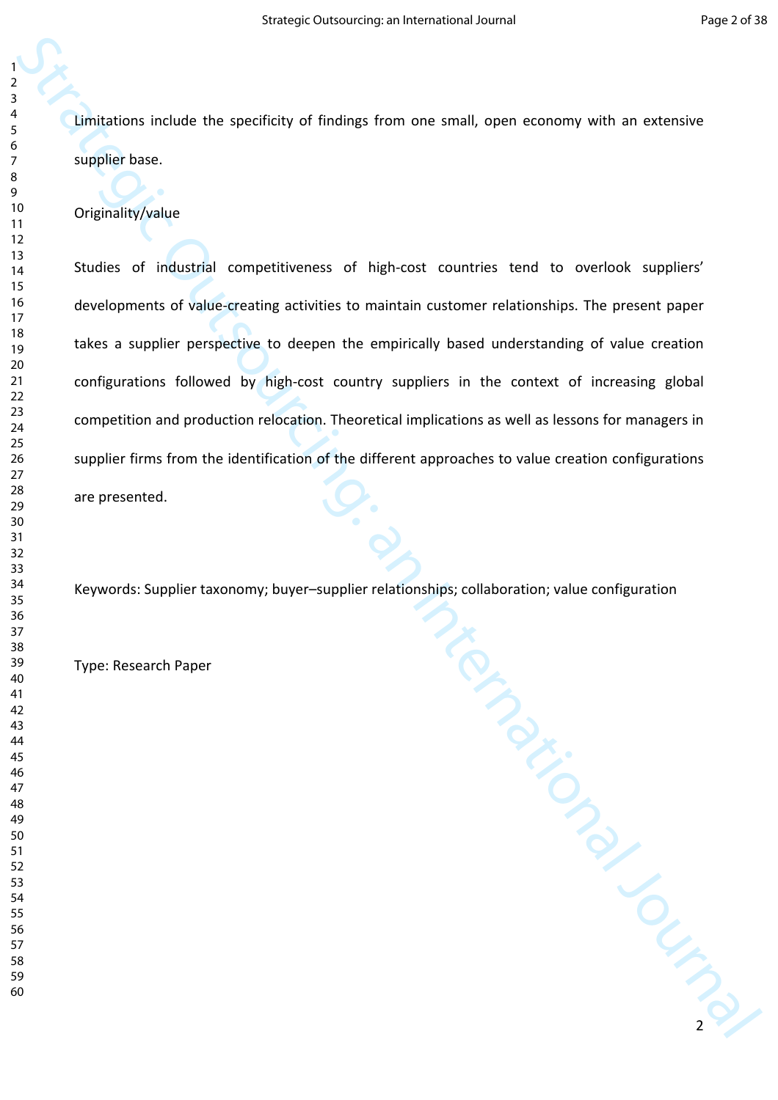Limitations include the specificity of findings from one small, open economy with an extensive supplier base.

Originality/value

Explicit the specific of lindings from one small, open economy with an extensive<br>supplier base.<br>
Ordensity/value<br>
Studies of industrial tompetibioness of high cast countries tend to accrossing players'<br>
Studies of industri Studies of industrial competitiveness of high-cost countries tend to overlook suppliers' developments of value-creating activities to maintain customer relationships. The present paper takes a supplier perspective to deepen the empirically based understanding of value creation configurations followed by high-cost country suppliers in the context of increasing global competition and production relocation. Theoretical implications as well as lessons for managers in supplier firms from the identification of the different approaches to value creation configurations are presented.

Keywords: Supplier taxonomy; buyer–supplier relationships; collaboration; value configuration

Type: Research Paper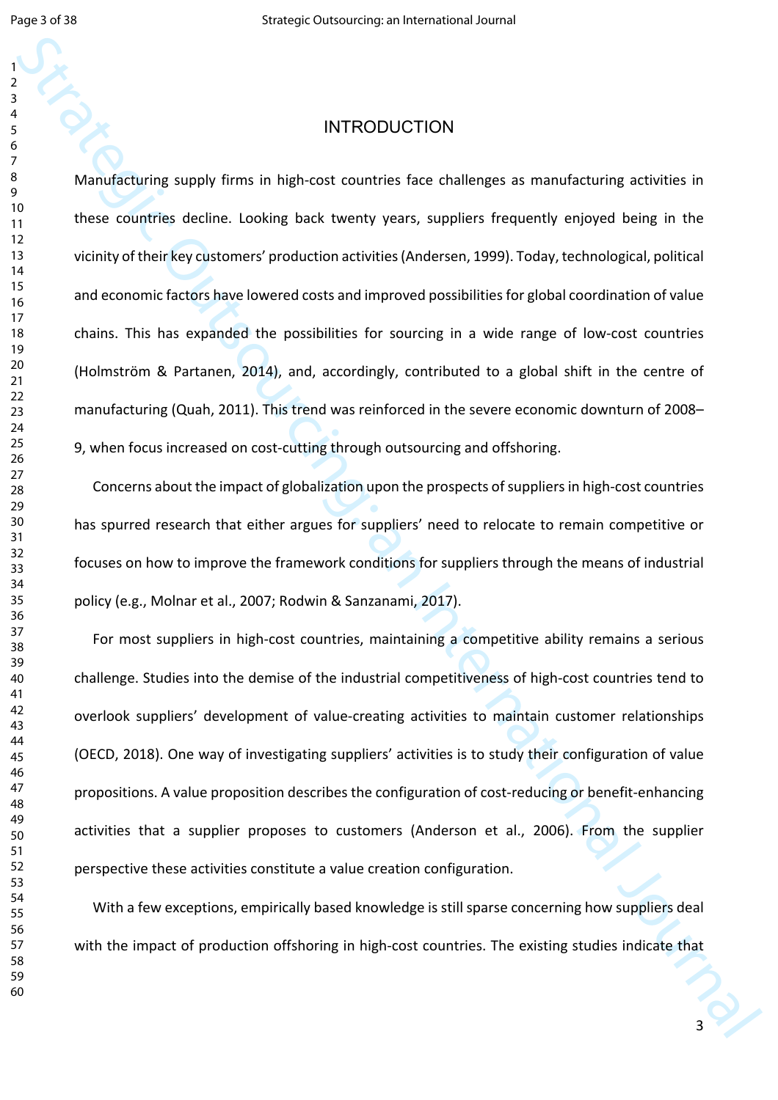#### 

 

# INTRODUCTION

INTRODUCTION<br>
Manufacturing supply firms in high-cost countries face challenges as manufacturing activities in<br>
Theorem contents decile. Coloring task two may pay increase a manufacturing activities in the<br>
volting of the Manufacturing supply firms in high-cost countries face challenges as manufacturing activities in these countries decline. Looking back twenty years, suppliers frequently enjoyed being in the vicinity of their key customers' production activities (Andersen, 1999). Today, technological, political and economic factors have lowered costs and improved possibilities for global coordination of value chains. This has expanded the possibilities for sourcing in a wide range of low-cost countries (Holmström & Partanen, 2014), and, accordingly, contributed to a global shift in the centre of manufacturing (Quah, 2011). This trend was reinforced in the severe economic downturn of 2008– 9, when focus increased on cost-cutting through outsourcing and offshoring.

Concerns about the impact of globalization upon the prospects of suppliers in high-cost countries has spurred research that either argues for suppliers' need to relocate to remain competitive or focuses on how to improve the framework conditions for suppliers through the means of industrial policy (e.g., Molnar et al., 2007; Rodwin & Sanzanami, 2017).

For most suppliers in high-cost countries, maintaining a competitive ability remains a serious challenge. Studies into the demise of the industrial competitiveness of high-cost countries tend to overlook suppliers' development of value-creating activities to maintain customer relationships (OECD, 2018). One way of investigating suppliers' activities is to study their configuration of value propositions. A value proposition describes the configuration of cost-reducing or benefit-enhancing activities that a supplier proposes to customers (Anderson et al., 2006). From the supplier perspective these activities constitute a value creation configuration.

With a few exceptions, empirically based knowledge is still sparse concerning how suppliers deal with the impact of production offshoring in high-cost countries. The existing studies indicate that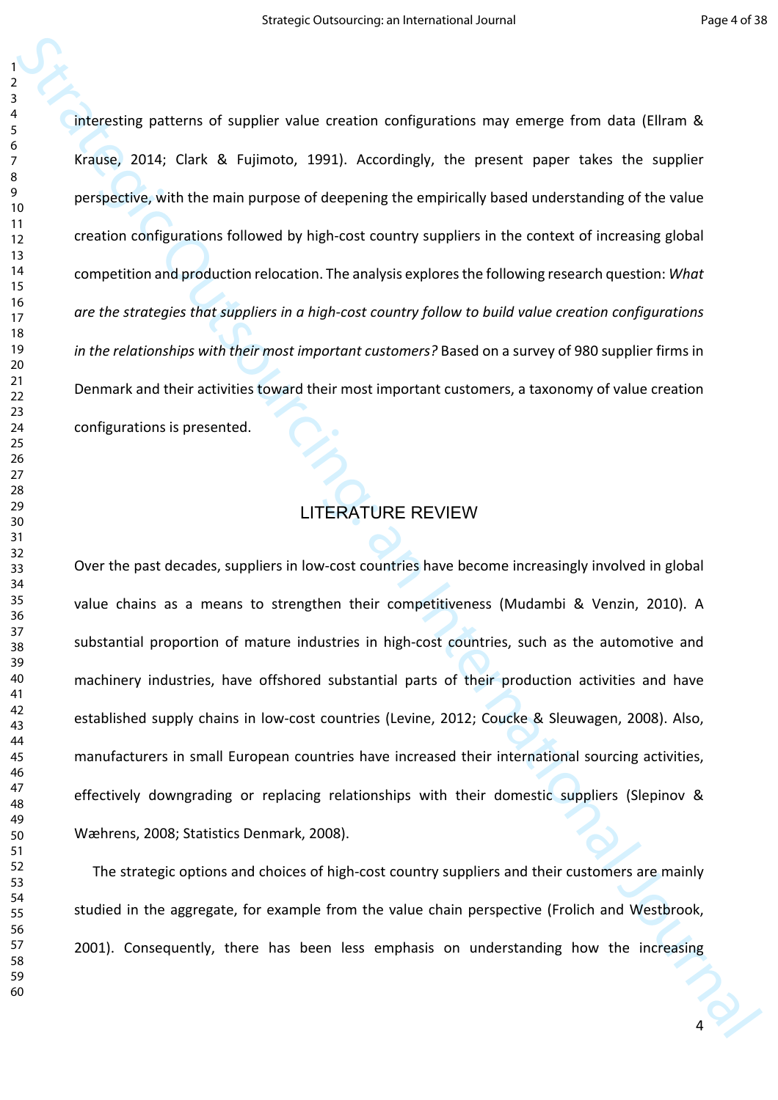Statesting patterns of suppliers while creation configurations may emerge from data (Eliram & crains), 2014; Cisa & Fujimoto, 1991). Accordingly, the present paper takes the supplier properties, with the minimum purpose of interesting patterns of supplier value creation configurations may emerge from data (Ellram & Krause, 2014; Clark & Fujimoto, 1991). Accordingly, the present paper takes the supplier perspective, with the main purpose of deepening the empirically based understanding of the value creation configurations followed by high-cost country suppliers in the context of increasing global competition and production relocation. The analysis explores the following research question: *What are the strategies that suppliers in a high-cost country follow to build value creation configurations in the relationships with their most important customers?* Based on a survey of 980 supplier firms in Denmark and their activities toward their most important customers, a taxonomy of value creation configurations is presented.

# LITERATURE REVIEW

Over the past decades, suppliers in low-cost countries have become increasingly involved in global value chains as a means to strengthen their competitiveness (Mudambi & Venzin, 2010). A substantial proportion of mature industries in high-cost countries, such as the automotive and machinery industries, have offshored substantial parts of their production activities and have established supply chains in low-cost countries (Levine, 2012; Coucke & Sleuwagen, 2008). Also, manufacturers in small European countries have increased their international sourcing activities, effectively downgrading or replacing relationships with their domestic suppliers (Slepinov & Wæhrens, 2008; Statistics Denmark, 2008).

The strategic options and choices of high-cost country suppliers and their customers are mainly studied in the aggregate, for example from the value chain perspective (Frolich and Westbrook, 2001). Consequently, there has been less emphasis on understanding how the increasing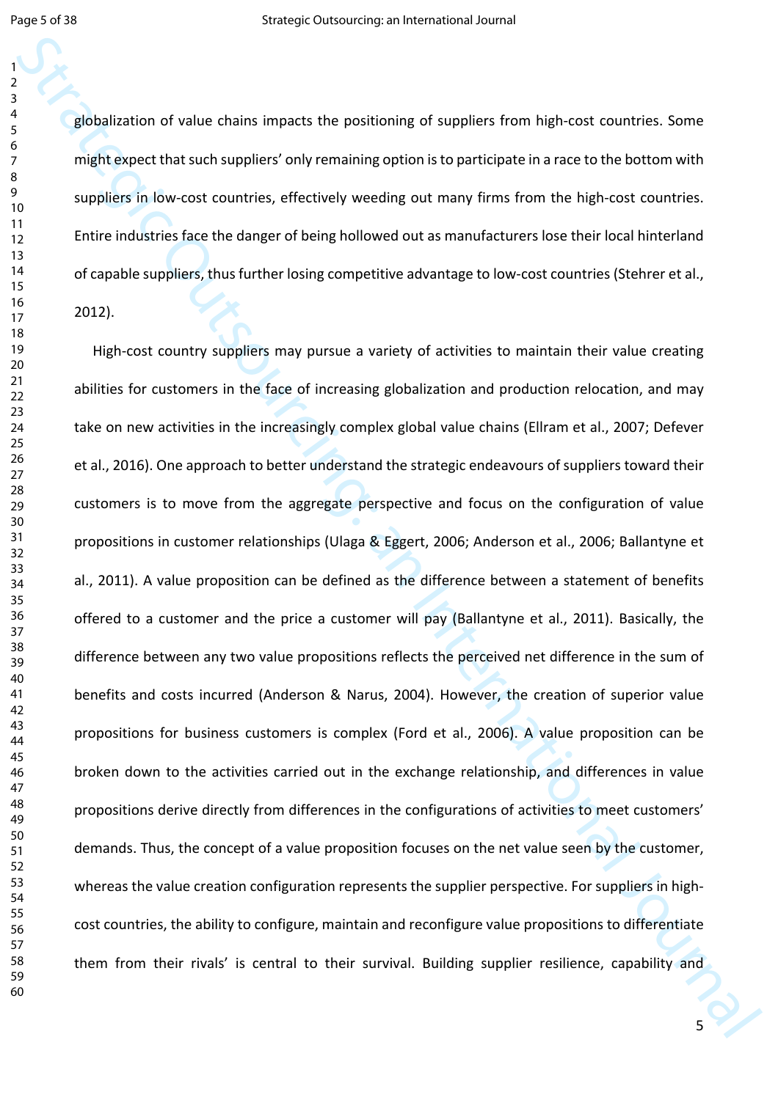globalization of value chains impacts the positioning of suppliers from high-cost countries. Some might expect that such suppliers' only remaining option is to participate in a race to the bottom with suppliers in low-cost countries, effectively weeding out many firms from the high-cost countries. Entire industries face the danger of being hollowed out as manufacturers lose their local hinterland of capable suppliers, thus further losing competitive advantage to low-cost countries (Stehrer et al., 2012).

Strategic outsource in the strategic original Strategic Outsource in the system of the strategic outsourcing<br>
Strategic Outsourcing: The strategic Outsourcing of the system of the strategic Outsourcing<br>
Strategie Outsourci High-cost country suppliers may pursue a variety of activities to maintain their value creating abilities for customers in the face of increasing globalization and production relocation, and may take on new activities in the increasingly complex global value chains (Ellram et al., 2007; Defever et al., 2016). One approach to better understand the strategic endeavours of suppliers toward their customers is to move from the aggregate perspective and focus on the configuration of value propositions in customer relationships (Ulaga & Eggert, 2006; Anderson et al., 2006; Ballantyne et al., 2011). A value proposition can be defined as the difference between a statement of benefits offered to a customer and the price a customer will pay (Ballantyne et al., 2011). Basically, the difference between any two value propositions reflects the perceived net difference in the sum of benefits and costs incurred (Anderson & Narus, 2004). However, the creation of superior value propositions for business customers is complex (Ford et al., 2006). A value proposition can be broken down to the activities carried out in the exchange relationship, and differences in value propositions derive directly from differences in the configurations of activities to meet customers' demands. Thus, the concept of a value proposition focuses on the net value seen by the customer, whereas the value creation configuration represents the supplier perspective. For suppliers in highcost countries, the ability to configure, maintain and reconfigure value propositions to differentiate them from their rivals' is central to their survival. Building supplier resilience, capability and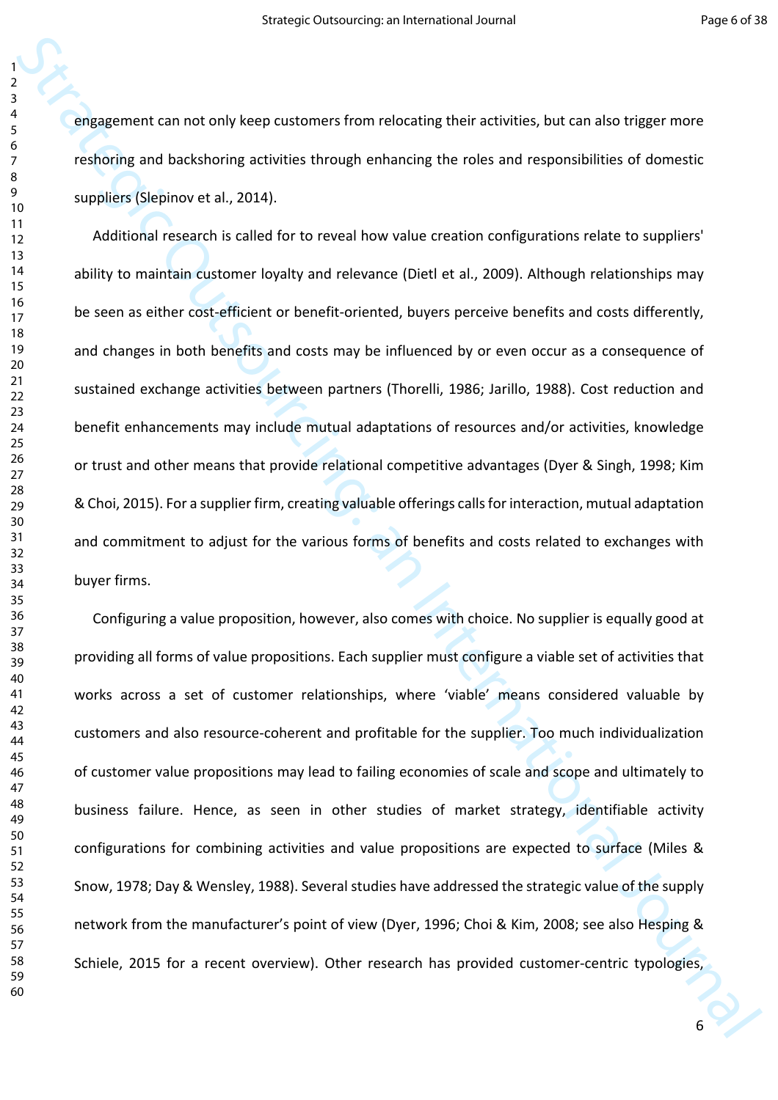engagement can not only keep customers from relocating their activities, but can also trigger more reshoring and backshoring activities through enhancing the roles and responsibilities of domestic suppliers (Slepinov et al., 2014).

engagement can not only keep customers from relocating their activities, but can also trigger more<br>
strategies (Septement and Journal Both change the ories and responsibilities of domestic<br>
suppliers (Septement and Journal Additional research is called for to reveal how value creation configurations relate to suppliers' ability to maintain customer loyalty and relevance (Dietl et al., 2009). Although relationships may be seen as either cost-efficient or benefit-oriented, buyers perceive benefits and costs differently, and changes in both benefits and costs may be influenced by or even occur as a consequence of sustained exchange activities between partners (Thorelli, 1986; Jarillo, 1988). Cost reduction and benefit enhancements may include mutual adaptations of resources and/or activities, knowledge or trust and other means that provide relational competitive advantages (Dyer & Singh, 1998; Kim & Choi, 2015). For a supplier firm, creating valuable offerings calls for interaction, mutual adaptation and commitment to adjust for the various forms of benefits and costs related to exchanges with buyer firms.

Configuring a value proposition, however, also comes with choice. No supplier is equally good at providing all forms of value propositions. Each supplier must configure a viable set of activities that works across a set of customer relationships, where 'viable' means considered valuable by customers and also resource-coherent and profitable for the supplier. Too much individualization of customer value propositions may lead to failing economies of scale and scope and ultimately to business failure. Hence, as seen in other studies of market strategy, identifiable activity configurations for combining activities and value propositions are expected to surface (Miles & Snow, 1978; Day & Wensley, 1988). Several studies have addressed the strategic value of the supply network from the manufacturer's point of view (Dyer, 1996; Choi & Kim, 2008; see also Hesping & Schiele, 2015 for a recent overview). Other research has provided customer-centric typologies,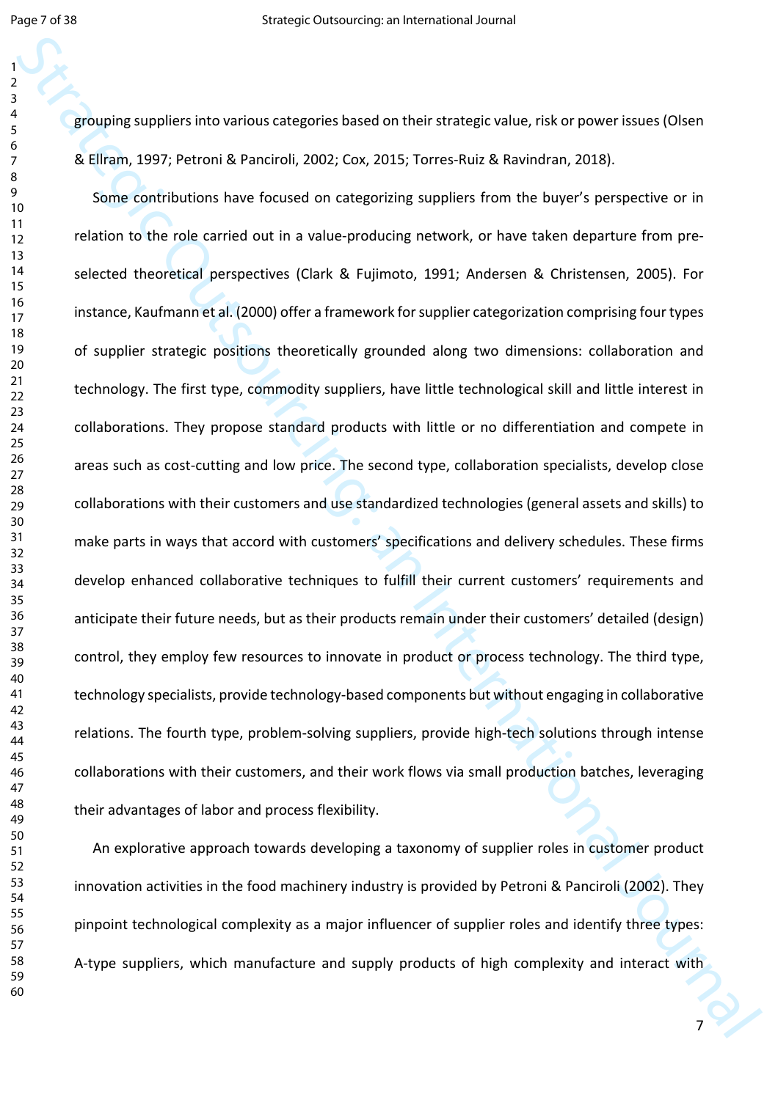grouping suppliers into various categories based on their strategic value, risk or power issues (Olsen & Ellram, 1997; Petroni & Panciroli, 2002; Cox, 2015; Torres-Ruiz & Ravindran, 2018).

strategies and various calculate based on their strategic value, risk or power issues (Olsee<br>Strain, 1997; Petroni & Peterosi, 2002; Cox, 2015; Torres kiuré. Revendinn, 2018).<br>Some contributions have bounced in computing Some contributions have focused on categorizing suppliers from the buyer's perspective or in relation to the role carried out in a value-producing network, or have taken departure from preselected theoretical perspectives (Clark & Fujimoto, 1991; Andersen & Christensen, 2005). For instance, Kaufmann et al. (2000) offer a framework for supplier categorization comprising four types of supplier strategic positions theoretically grounded along two dimensions: collaboration and technology. The first type, commodity suppliers, have little technological skill and little interest in collaborations. They propose standard products with little or no differentiation and compete in areas such as cost-cutting and low price. The second type, collaboration specialists, develop close collaborations with their customers and use standardized technologies (general assets and skills) to make parts in ways that accord with customers' specifications and delivery schedules. These firms develop enhanced collaborative techniques to fulfill their current customers' requirements and anticipate their future needs, but as their products remain under their customers' detailed (design) control, they employ few resources to innovate in product or process technology. The third type, technology specialists, provide technology-based components but without engaging in collaborative relations. The fourth type, problem-solving suppliers, provide high-tech solutions through intense collaborations with their customers, and their work flows via small production batches, leveraging their advantages of labor and process flexibility.

An explorative approach towards developing a taxonomy of supplier roles in customer product innovation activities in the food machinery industry is provided by Petroni & Panciroli (2002). They pinpoint technological complexity as a major influencer of supplier roles and identify three types: A-type suppliers, which manufacture and supply products of high complexity and interact with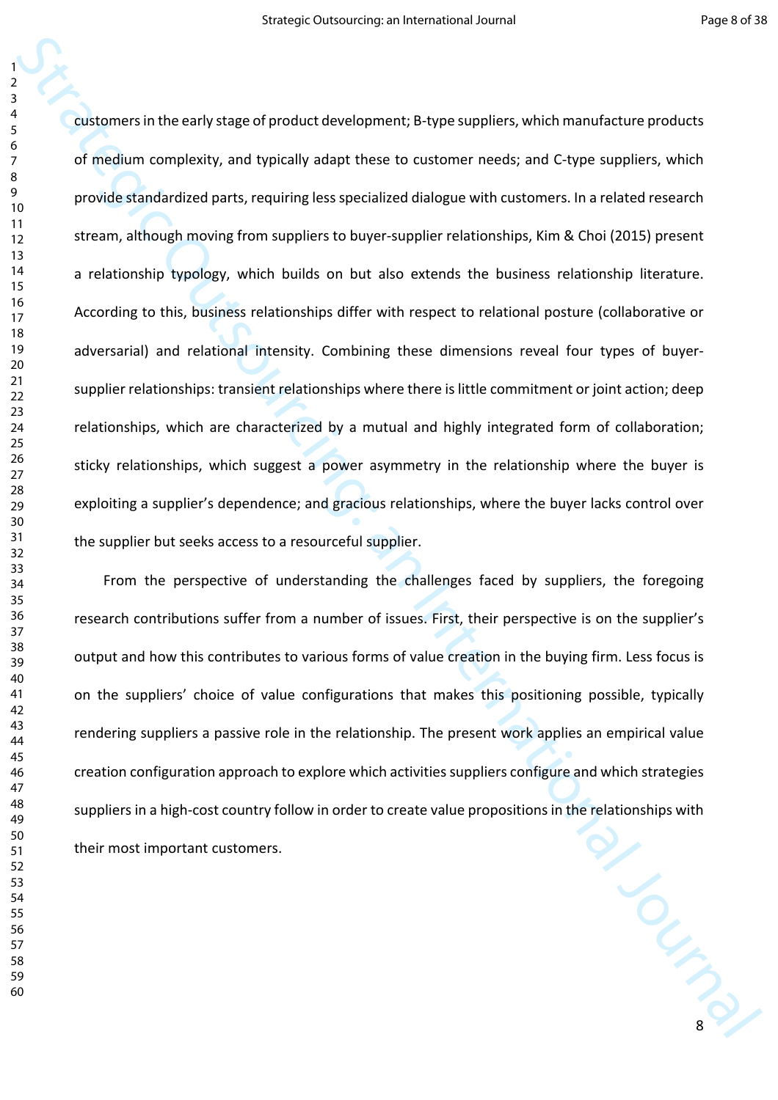Continues in the early stage of product development; d-type suppliers, which manufacture products<br>of encolum complexity, and typically adapt there to customer needs, and it type suppliers, which<br>provide dimidlentized proto customers in the early stage of product development; B-type suppliers, which manufacture products of medium complexity, and typically adapt these to customer needs; and C-type suppliers, which provide standardized parts, requiring less specialized dialogue with customers. In a related research stream, although moving from suppliers to buyer-supplier relationships, Kim & Choi (2015) present a relationship typology, which builds on but also extends the business relationship literature. According to this, business relationships differ with respect to relational posture (collaborative or adversarial) and relational intensity. Combining these dimensions reveal four types of buyersupplier relationships: transient relationships where there is little commitment or joint action; deep relationships, which are characterized by a mutual and highly integrated form of collaboration; sticky relationships, which suggest a power asymmetry in the relationship where the buyer is exploiting a supplier's dependence; and gracious relationships, where the buyer lacks control over the supplier but seeks access to a resourceful supplier.

W LOURN From the perspective of understanding the challenges faced by suppliers, the foregoing research contributions suffer from a number of issues. First, their perspective is on the supplier's output and how this contributes to various forms of value creation in the buying firm. Less focus is on the suppliers' choice of value configurations that makes this positioning possible, typically rendering suppliers a passive role in the relationship. The present work applies an empirical value creation configuration approach to explore which activities suppliers configure and which strategies suppliers in a high-cost country follow in order to create value propositions in the relationships with their most important customers.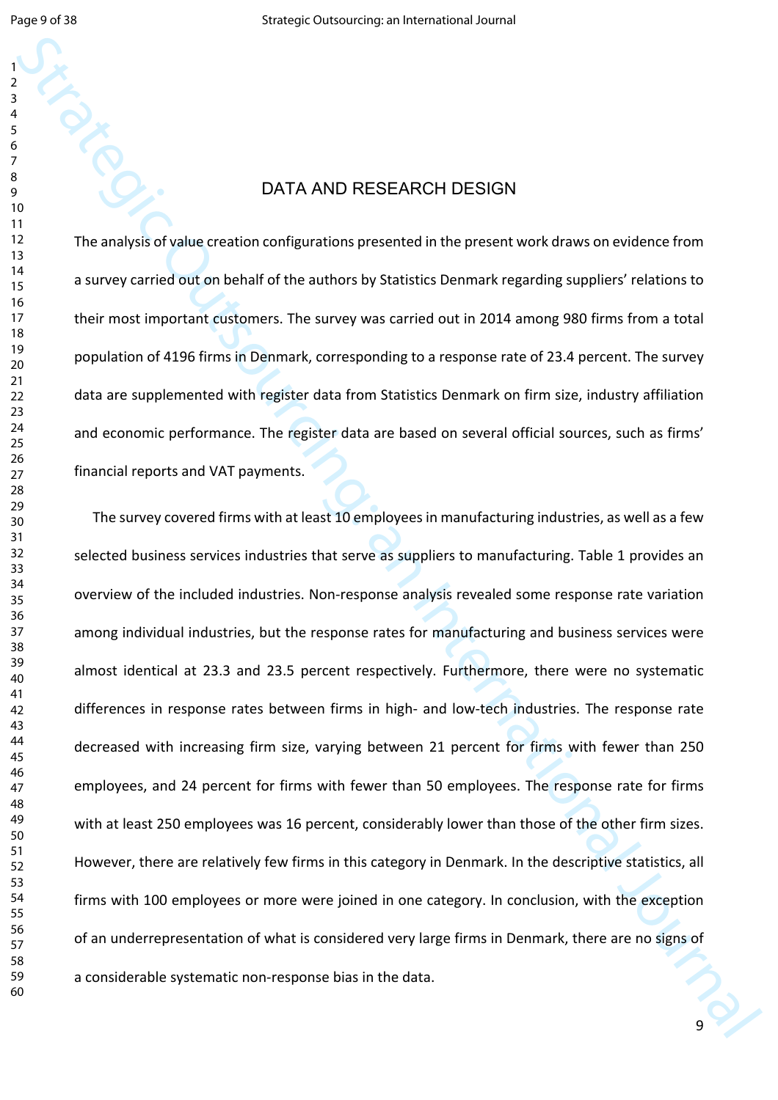#### DATA AND RESEARCH DESIGN

The analysis of value creation configurations presented in the present work draws on evidence from a survey carried out on behalf of the authors by Statistics Denmark regarding suppliers' relations to their most important customers. The survey was carried out in 2014 among 980 firms from a total population of 4196 firms in Denmark, corresponding to a response rate of 23.4 percent. The survey data are supplemented with register data from Statistics Denmark on firm size, industry affiliation and economic performance. The register data are based on several official sources, such as firms' financial reports and VAT payments.

Strategic outsourcing:<br>
Strategic outsources on the property of the subset of the subset of the subset of the subset of the subset of the subset of the subset of the subset of the subset of the subset of the subset of the The survey covered firms with at least 10 employees in manufacturing industries, as well as a few selected business services industries that serve as suppliers to manufacturing. Table 1 provides an overview of the included industries. Non-response analysis revealed some response rate variation among individual industries, but the response rates for manufacturing and business services were almost identical at 23.3 and 23.5 percent respectively. Furthermore, there were no systematic differences in response rates between firms in high- and low-tech industries. The response rate decreased with increasing firm size, varying between 21 percent for firms with fewer than 250 employees, and 24 percent for firms with fewer than 50 employees. The response rate for firms with at least 250 employees was 16 percent, considerably lower than those of the other firm sizes. However, there are relatively few firms in this category in Denmark. In the descriptive statistics, all firms with 100 employees or more were joined in one category. In conclusion, with the exception of an underrepresentation of what is considered very large firms in Denmark, there are no signs of a considerable systematic non-response bias in the data.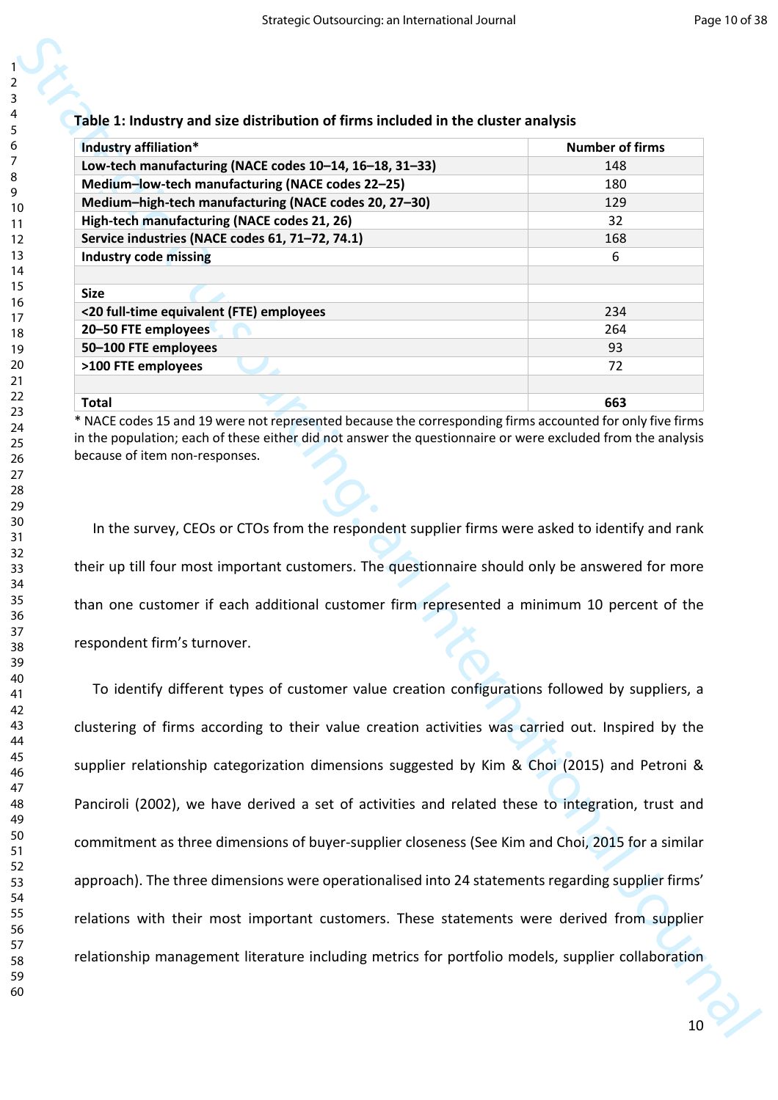|  |  | Table 1: Industry and size distribution of firms included in the cluster analysis |  |  |  |
|--|--|-----------------------------------------------------------------------------------|--|--|--|
|  |  |                                                                                   |  |  |  |

| Industry affiliation*                                   | <b>Number of firms</b> |
|---------------------------------------------------------|------------------------|
| Low-tech manufacturing (NACE codes 10-14, 16-18, 31-33) | 148                    |
| Medium-low-tech manufacturing (NACE codes 22-25)        | 180                    |
| Medium-high-tech manufacturing (NACE codes 20, 27-30)   | 129                    |
| High-tech manufacturing (NACE codes 21, 26)             | 32                     |
| Service industries (NACE codes 61, 71-72, 74.1)         | 168                    |
| <b>Industry code missing</b>                            | 6                      |
|                                                         |                        |
| <b>Size</b>                                             |                        |
| <20 full-time equivalent (FTE) employees                | 234                    |
| 20-50 FTE employees                                     | 264                    |
| 50-100 FTE employees                                    | 93                     |
| >100 FTE employees                                      | 72                     |
|                                                         |                        |
| Total                                                   | 663                    |

\* NACE codes 15 and 19 were not represented because the corresponding firms accounted for only five firms in the population; each of these either did not answer the questionnaire or were excluded from the analysis because of item non-responses.

In the survey, CEOs or CTOs from the respondent supplier firms were asked to identify and rank their up till four most important customers. The questionnaire should only be answered for more than one customer if each additional customer firm represented a minimum 10 percent of the respondent firm's turnover.

Table 1: industry and size distribution of firms included in the cluster analysis<br>
incomergenceural musculations (MAE codes 19-14, 18-18, 18-18, 18-18, 19-18)<br>
Medium-high-set manufacturing (MAE codes 12-14, 18-18, 18-18, To identify different types of customer value creation configurations followed by suppliers, a clustering of firms according to their value creation activities was carried out. Inspired by the supplier relationship categorization dimensions suggested by Kim & Choi (2015) and Petroni & Panciroli (2002), we have derived a set of activities and related these to integration, trust and commitment as three dimensions of buyer-supplier closeness (See Kim and Choi, 2015 for a similar approach). The three dimensions were operationalised into 24 statements regarding supplier firms' relations with their most important customers. These statements were derived from supplier relationship management literature including metrics for portfolio models, supplier collaboration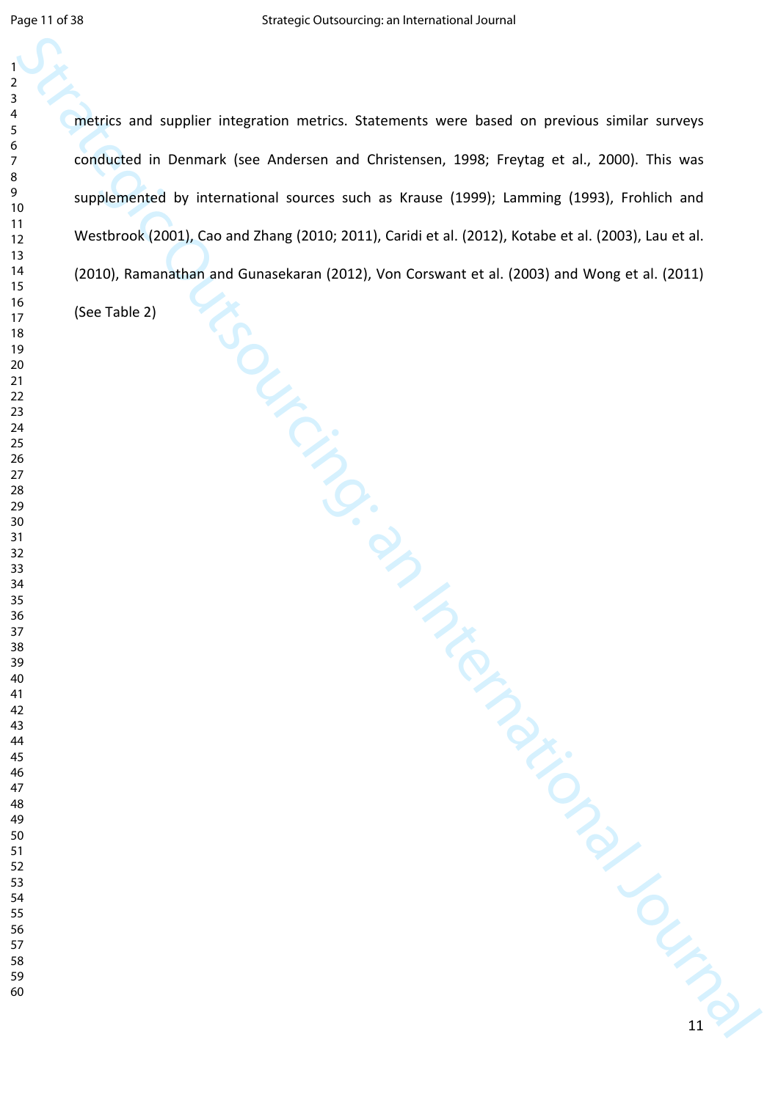Strategic or and supplier integration metrics. Statements were based on previous similar surveys<br>
conducted in international anuncs and in Knase (1996); tarming (1999), Frabilità and<br>
11 Westbrook (2001), Cao and Zhang (20 metrics and supplier integration metrics. Statements were based on previous similar surveys conducted in Denmark (see Andersen and Christensen, 1998; Freytag et al., 2000). This was supplemented by international sources such as Krause (1999); Lamming (1993), Frohlich and Westbrook (2001), Cao and Zhang (2010; 2011), Caridi et al. (2012), Kotabe et al. (2003), Lau et al. (2010), Ramanathan and Gunasekaran (2012), Von Corswant et al. (2003) and Wong et al. (2011)

(See Table 2)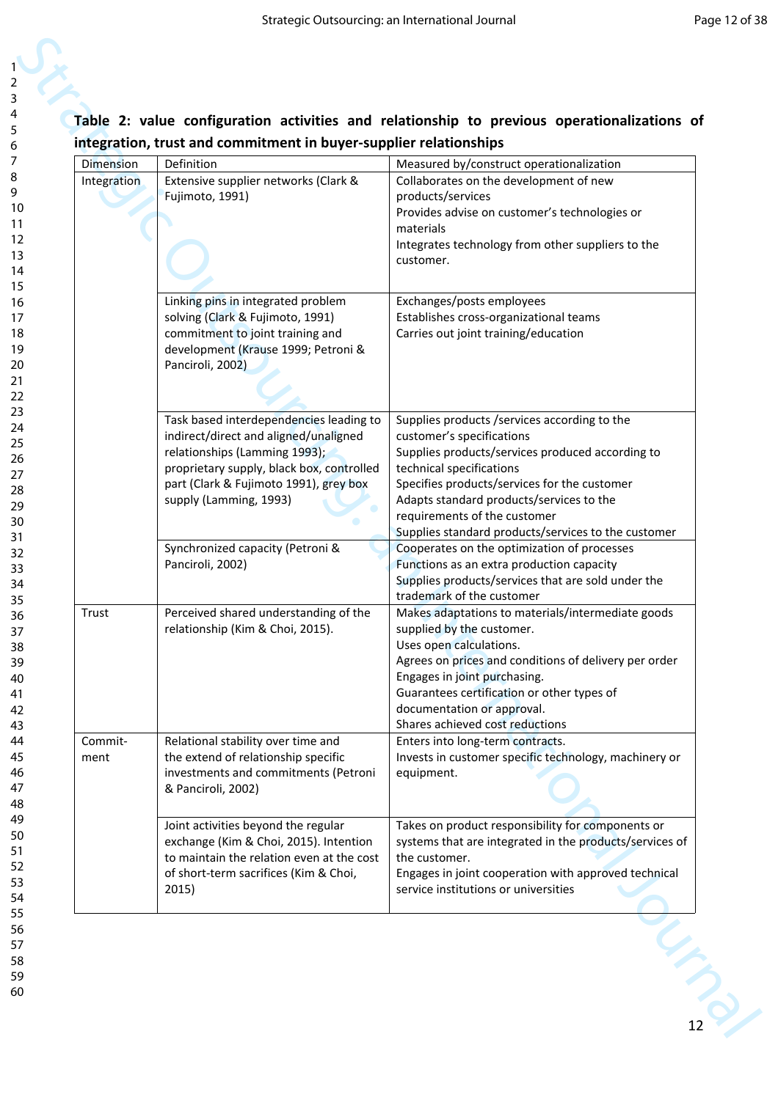# **Table 2: value configuration activities and relationship to previous operationalizations of integration, trust and commitment in buyer-supplier relationships**

| <b>Dimension</b> | Definition                                                                          | Measured by/construct operationalization                                                 |
|------------------|-------------------------------------------------------------------------------------|------------------------------------------------------------------------------------------|
| Integration      | Extensive supplier networks (Clark &                                                | Collaborates on the development of new                                                   |
|                  | Fujimoto, 1991)                                                                     | products/services                                                                        |
|                  |                                                                                     | Provides advise on customer's technologies or                                            |
|                  |                                                                                     | materials<br>Integrates technology from other suppliers to the                           |
|                  |                                                                                     | customer.                                                                                |
|                  | Linking pins in integrated problem                                                  | Exchanges/posts employees                                                                |
|                  | solving (Clark & Fujimoto, 1991)                                                    | Establishes cross-organizational teams                                                   |
|                  | commitment to joint training and                                                    | Carries out joint training/education                                                     |
|                  | development (Krause 1999; Petroni &<br>Panciroli, 2002)                             |                                                                                          |
|                  |                                                                                     |                                                                                          |
|                  | Task based interdependencies leading to                                             | Supplies products /services according to the                                             |
|                  | indirect/direct and aligned/unaligned                                               | customer's specifications                                                                |
|                  | relationships (Lamming 1993);                                                       | Supplies products/services produced according to                                         |
|                  | proprietary supply, black box, controlled<br>part (Clark & Fujimoto 1991), grey box | technical specifications<br>Specifies products/services for the customer                 |
|                  | supply (Lamming, 1993)                                                              | Adapts standard products/services to the                                                 |
|                  |                                                                                     | requirements of the customer                                                             |
|                  |                                                                                     | Supplies standard products/services to the customer                                      |
|                  | Synchronized capacity (Petroni &<br>Panciroli, 2002)                                | Cooperates on the optimization of processes<br>Functions as an extra production capacity |
|                  |                                                                                     | Supplies products/services that are sold under the                                       |
|                  |                                                                                     | trademark of the customer                                                                |
| Trust            | Perceived shared understanding of the                                               | Makes adaptations to materials/intermediate goods                                        |
|                  | relationship (Kim & Choi, 2015).                                                    | supplied by the customer.<br>Uses open calculations.                                     |
|                  |                                                                                     | Agrees on prices and conditions of delivery per order                                    |
|                  |                                                                                     | Engages in joint purchasing.                                                             |
|                  |                                                                                     | Guarantees certification or other types of                                               |
|                  |                                                                                     | documentation or approval.                                                               |
| Commit-          | Relational stability over time and                                                  | Shares achieved cost reductions<br>Enters into long-term contracts.                      |
| ment             | the extend of relationship specific                                                 | Invests in customer specific technology, machinery or                                    |
|                  | investments and commitments (Petroni<br>& Panciroli, 2002)                          | equipment.                                                                               |
|                  | Joint activities beyond the regular                                                 | Takes on product responsibility for components or                                        |
|                  | exchange (Kim & Choi, 2015). Intention                                              | systems that are integrated in the products/services of                                  |
|                  | to maintain the relation even at the cost<br>of short-term sacrifices (Kim & Choi,  | the customer.<br>Engages in joint cooperation with approved technical                    |
|                  | 2015)                                                                               | service institutions or universities                                                     |
|                  |                                                                                     |                                                                                          |

60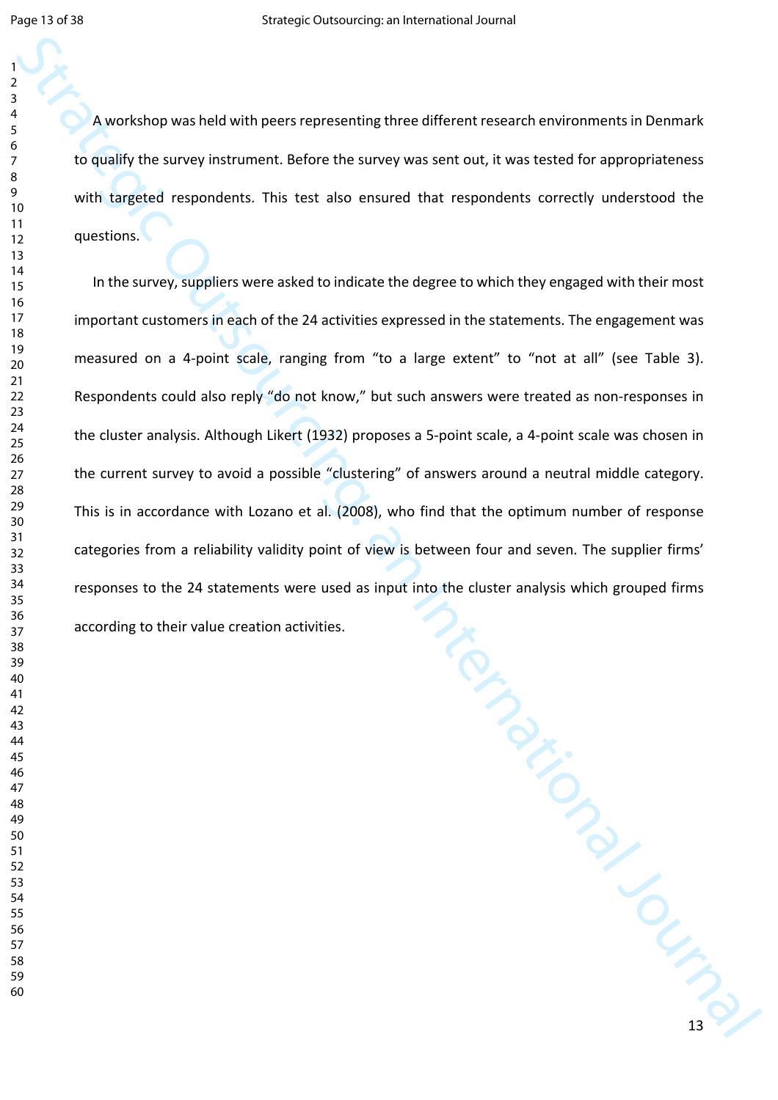A workshop was held with peers representing three different research environments in Denmark to qualify the survey instrument. Before the survey was sent out, it was tested for appropriateness with targeted respondents. This test also ensured that respondents correctly understood the questions.

Strategies their with peers representing three different research environments in Denmark<br>
10 qualify the survey instrument. This test also resumed that respondents enterely understood for<br>
2008 with disperse representatio In the survey, suppliers were asked to indicate the degree to which they engaged with their most important customers in each of the 24 activities expressed in the statements. The engagement was measured on a 4-point scale, ranging from "to a large extent" to "not at all" (see Table 3). Respondents could also reply "do not know," but such answers were treated as non-responses in the cluster analysis. Although Likert (1932) proposes a 5-point scale, a 4-point scale was chosen in the current survey to avoid a possible "clustering" of answers around a neutral middle category. This is in accordance with Lozano et al. (2008), who find that the optimum number of response categories from a reliability validity point of view is between four and seven. The supplier firms' responses to the 24 statements were used as input into the cluster analysis which grouped firms according to their value creation activities.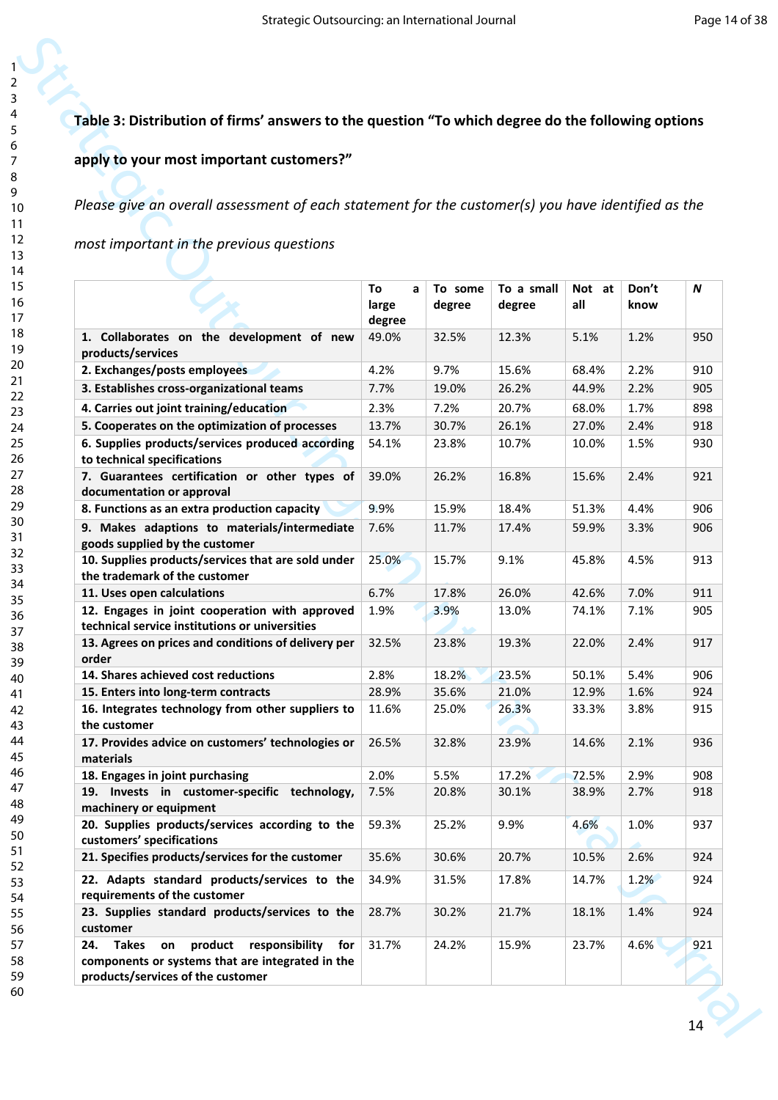# **Table 3: Distribution of firms' answers to the question "To which degree do the following options**

#### **apply to your most important customers?"**

| Table 3: Distribution of firms' answers to the question "To which degree do the following options                 |                  |                   |                      |                |               |            |
|-------------------------------------------------------------------------------------------------------------------|------------------|-------------------|----------------------|----------------|---------------|------------|
| apply to your most important customers?"                                                                          |                  |                   |                      |                |               |            |
|                                                                                                                   |                  |                   |                      |                |               |            |
|                                                                                                                   |                  |                   |                      |                |               |            |
| Please give an overall assessment of each statement for the customer(s) you have identified as the                |                  |                   |                      |                |               |            |
| most important in the previous questions                                                                          |                  |                   |                      |                |               |            |
|                                                                                                                   |                  |                   |                      |                |               |            |
|                                                                                                                   |                  |                   |                      |                |               |            |
|                                                                                                                   | To<br>a<br>large | To some<br>degree | To a small<br>degree | Not at<br>all  | Don't<br>know | N          |
|                                                                                                                   | degree           |                   |                      |                |               |            |
| 1. Collaborates on the development of new                                                                         | 49.0%            | 32.5%             | 12.3%                | 5.1%           | 1.2%          | 950        |
| products/services                                                                                                 |                  |                   |                      |                |               |            |
| 2. Exchanges/posts employees                                                                                      | 4.2%             | 9.7%              | 15.6%                | 68.4%          | 2.2%          | 910        |
| 3. Establishes cross-organizational teams                                                                         | 7.7%             | 19.0%             | 26.2%                | 44.9%          | 2.2%          | 905        |
| 4. Carries out joint training/education                                                                           | 2.3%             | 7.2%              | 20.7%                | 68.0%          | 1.7%          | 898        |
| 5. Cooperates on the optimization of processes                                                                    | 13.7%            | 30.7%             | 26.1%                | 27.0%          | 2.4%          | 918        |
| 6. Supplies products/services produced according<br>to technical specifications                                   | 54.1%            | 23.8%             | 10.7%                | 10.0%          | 1.5%          | 930        |
| 7. Guarantees certification or other types of                                                                     | 39.0%            | 26.2%             | 16.8%                | 15.6%          | 2.4%          | 921        |
| documentation or approval                                                                                         |                  |                   |                      |                |               |            |
| 8. Functions as an extra production capacity                                                                      | 9.9%             | 15.9%             | 18.4%                | 51.3%          | 4.4%          | 906        |
| 9. Makes adaptions to materials/intermediate                                                                      | 7.6%             | 11.7%             | 17.4%                | 59.9%          | 3.3%          | 906        |
| goods supplied by the customer                                                                                    |                  |                   |                      |                |               |            |
| 10. Supplies products/services that are sold under<br>the trademark of the customer                               | 25.0%            | 15.7%             | 9.1%                 | 45.8%          | 4.5%          | 913        |
| 11. Uses open calculations                                                                                        | 6.7%             | 17.8%             | 26.0%                | 42.6%          | 7.0%          | 911        |
| 12. Engages in joint cooperation with approved                                                                    | 1.9%             | 3.9%              | 13.0%                | 74.1%          | 7.1%          | 905        |
| technical service institutions or universities                                                                    |                  |                   |                      |                |               |            |
| 13. Agrees on prices and conditions of delivery per                                                               | 32.5%            | 23.8%             | 19.3%                | 22.0%          | 2.4%          | 917        |
| order                                                                                                             |                  |                   |                      |                |               |            |
| 14. Shares achieved cost reductions<br>15. Enters into long-term contracts                                        | 2.8%<br>28.9%    | 18.2%<br>35.6%    | 23.5%<br>21.0%       | 50.1%<br>12.9% | 5.4%<br>1.6%  | 906<br>924 |
| 16. Integrates technology from other suppliers to                                                                 | 11.6%            | 25.0%             | 26.3%                | 33.3%          | 3.8%          | 915        |
| the customer                                                                                                      |                  |                   |                      |                |               |            |
| 17. Provides advice on customers' technologies or                                                                 | 26.5%            | 32.8%             | 23.9%                | 14.6%          | 2.1%          | 936        |
| materials                                                                                                         |                  |                   |                      |                |               |            |
| 18. Engages in joint purchasing                                                                                   | 2.0%             | 5.5%              | 17.2%                | 72.5%          | 2.9%          | 908        |
| 19. Invests in customer-specific technology,<br>machinery or equipment                                            | 7.5%             | 20.8%             | 30.1%                | 38.9%          | 2.7%          | 918        |
| 20. Supplies products/services according to the                                                                   | 59.3%            | 25.2%             | 9.9%                 | 4.6%           | 1.0%          | 937        |
| customers' specifications                                                                                         |                  |                   |                      |                |               |            |
| 21. Specifies products/services for the customer                                                                  | 35.6%            | 30.6%             | 20.7%                | 10.5%          | 2.6%          | 924        |
| 22. Adapts standard products/services to the                                                                      | 34.9%            | 31.5%             | 17.8%                | 14.7%          | 1.2%          | 924        |
| requirements of the customer                                                                                      |                  |                   |                      |                |               |            |
| 23. Supplies standard products/services to the                                                                    | 28.7%            | 30.2%             | 21.7%                | 18.1%          | 1.4%          | 924        |
| customer                                                                                                          |                  |                   |                      |                |               |            |
| product<br>responsibility<br>24.<br><b>Takes</b><br>for<br>on<br>components or systems that are integrated in the | 31.7%            | 24.2%             | 15.9%                | 23.7%          | 4.6%          | 921        |
|                                                                                                                   |                  |                   |                      |                |               |            |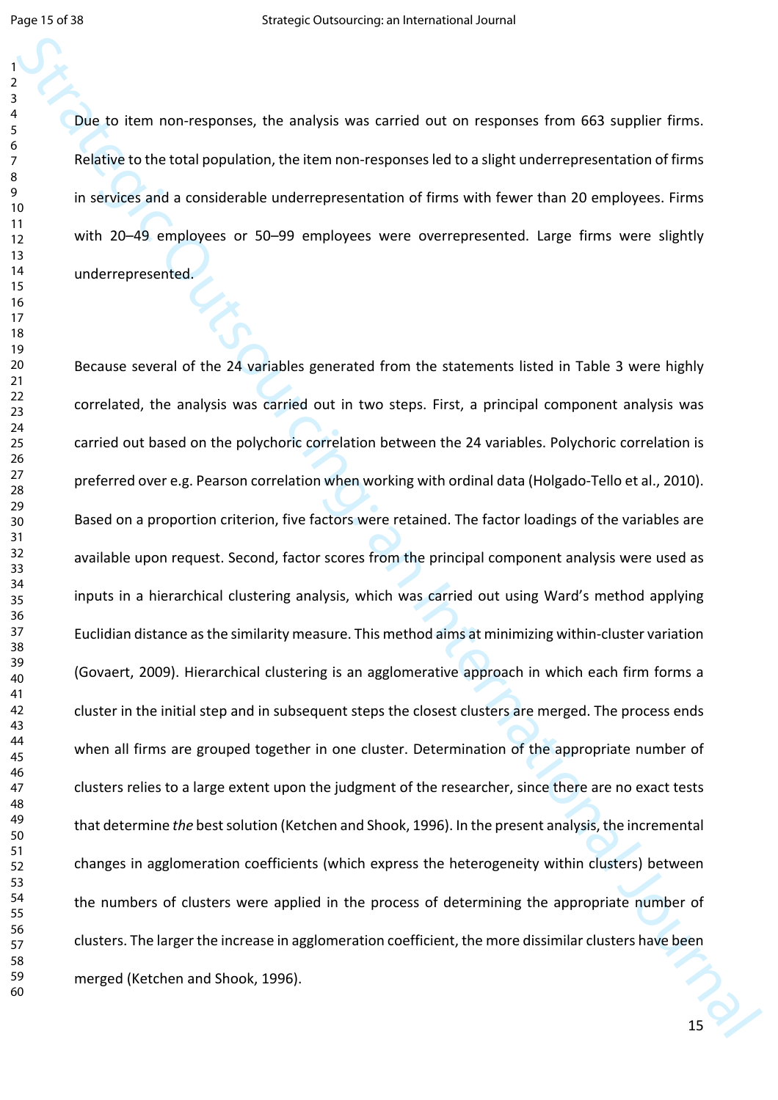Due to item non-responses, the analysis was carried out on responses from 663 supplier firms. Relative to the total population, the item non-responses led to a slight underrepresentation of firms in services and a considerable underrepresentation of firms with fewer than 20 employees. Firms with 20–49 employees or 50–99 employees were overrepresented. Large firms were slightly underrepresented.

State to item non-responses, the analysis was carried out on responses from 663 supplier firms.<br>
Solutive to the total proposition, the herm non response led to a signt underrepresentation of firms<br>
in sections and a remod Because several of the 24 variables generated from the statements listed in Table 3 were highly correlated, the analysis was carried out in two steps. First, a principal component analysis was carried out based on the polychoric correlation between the 24 variables. Polychoric correlation is preferred over e.g. Pearson correlation when working with ordinal data (Holgado-Tello et al., 2010). Based on a proportion criterion, five factors were retained. The factor loadings of the variables are available upon request. Second, factor scores from the principal component analysis were used as inputs in a hierarchical clustering analysis, which was carried out using Ward's method applying Euclidian distance as the similarity measure. This method aims at minimizing within-cluster variation (Govaert, 2009). Hierarchical clustering is an agglomerative approach in which each firm forms a cluster in the initial step and in subsequent steps the closest clusters are merged. The process ends when all firms are grouped together in one cluster. Determination of the appropriate number of clusters relies to a large extent upon the judgment of the researcher, since there are no exact tests that determine *the* best solution (Ketchen and Shook, 1996). In the present analysis, the incremental changes in agglomeration coefficients (which express the heterogeneity within clusters) between the numbers of clusters were applied in the process of determining the appropriate number of clusters. The larger the increase in agglomeration coefficient, the more dissimilar clusters have been merged (Ketchen and Shook, 1996).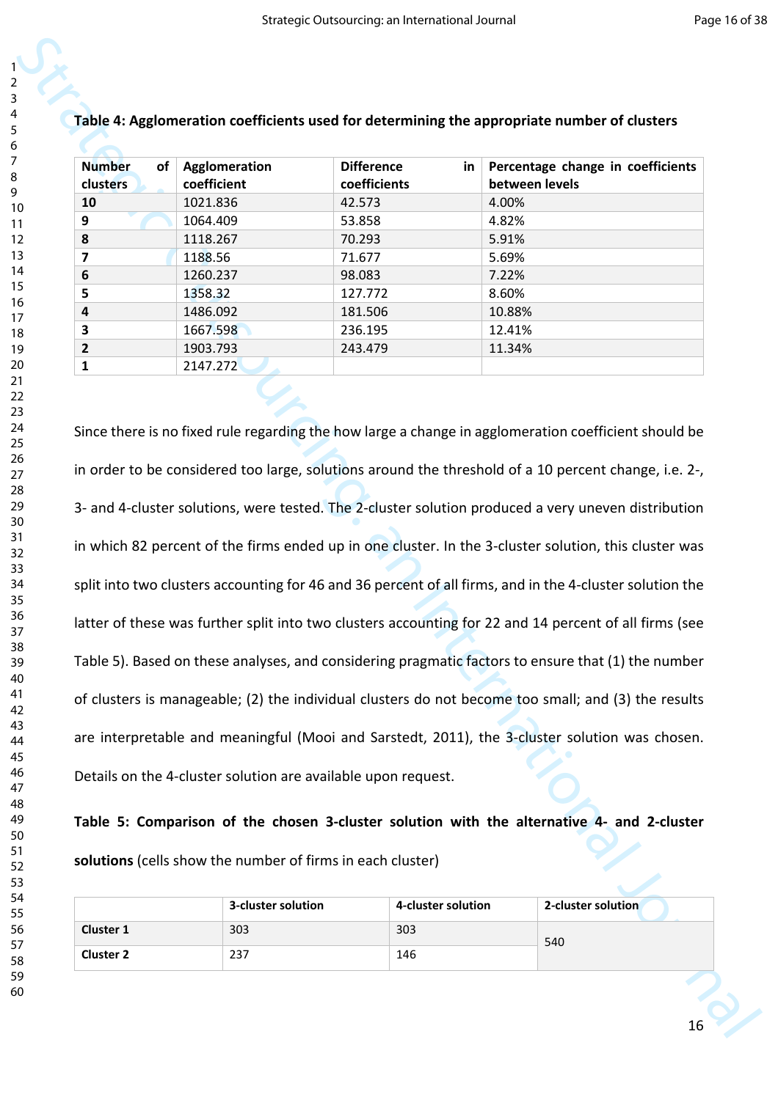| 1                            |  |
|------------------------------|--|
| ,                            |  |
| 3                            |  |
| 4                            |  |
| 5                            |  |
|                              |  |
| 6                            |  |
|                              |  |
| 8                            |  |
| 9                            |  |
| 10                           |  |
| 1<br>$\mathbf{1}$            |  |
| 1<br>2                       |  |
|                              |  |
| 3<br>1                       |  |
| 1<br>4                       |  |
| 15                           |  |
| 16                           |  |
| 1                            |  |
| 18                           |  |
| 19                           |  |
|                              |  |
| 20                           |  |
| $\overline{21}$              |  |
| $\overline{2}$<br>,          |  |
| $\overline{2}$<br>ξ          |  |
| $\frac{2}{3}$                |  |
| 25                           |  |
| 26                           |  |
| $\overline{2}$               |  |
|                              |  |
| 28                           |  |
| 29                           |  |
| 30                           |  |
| $\overline{\textbf{3}}$      |  |
| $\overline{\mathbf{3}}$<br>, |  |
| $\overline{\mathbf{3}}$<br>ξ |  |
| 34                           |  |
| 35                           |  |
|                              |  |
| 36                           |  |
| 37                           |  |
| 88                           |  |
| 39                           |  |
| 40                           |  |
| 41                           |  |
| 42                           |  |
| 43                           |  |
|                              |  |
| 44                           |  |
| 45                           |  |
| 46                           |  |
| 47                           |  |
| 48                           |  |
| 49                           |  |
| 50                           |  |
|                              |  |
| 51                           |  |
| 52                           |  |
| 53                           |  |
| 54                           |  |
| 55                           |  |
| 56                           |  |
| 57                           |  |
|                              |  |
| 58                           |  |

| <b>Number</b><br>of<br><b>clusters</b> | Agglomeration<br>coefficient | <b>Difference</b><br>in<br>coefficients | Percentage change in coefficients<br>between levels |
|----------------------------------------|------------------------------|-----------------------------------------|-----------------------------------------------------|
| 10                                     | 1021.836                     | 42.573                                  | 4.00%                                               |
| 9                                      | 1064.409                     | 53.858                                  | 4.82%                                               |
| 8                                      | 1118.267                     | 70.293                                  | 5.91%                                               |
|                                        | 1188.56                      | 71.677                                  | 5.69%                                               |
| 6                                      | 1260.237                     | 98.083                                  | 7.22%                                               |
| 5.                                     | 1358.32                      | 127.772                                 | 8.60%                                               |
| 4                                      | 1486.092                     | 181.506                                 | 10.88%                                              |
| 3                                      | 1667.598                     | 236.195                                 | 12.41%                                              |
|                                        | 1903.793                     | 243.479                                 | 11.34%                                              |
|                                        | 2147.272                     |                                         |                                                     |
|                                        |                              |                                         |                                                     |

Table 4: Agglomeration coefficients used for determining the appropriate number of clusters<br>
Number of Audinnessines<br>
Difference in Percenture damage hards coefficients<br>  $\frac{10}{10}$ <br>  $\frac{100 \times 500}{100000000000000000000000$ Since there is no fixed rule regarding the how large a change in agglomeration coefficient should be in order to be considered too large, solutions around the threshold of a 10 percent change, i.e. 2-, 3- and 4-cluster solutions, were tested. The 2-cluster solution produced a very uneven distribution in which 82 percent of the firms ended up in one cluster. In the 3-cluster solution, this cluster was split into two clusters accounting for 46 and 36 percent of all firms, and in the 4-cluster solution the latter of these was further split into two clusters accounting for 22 and 14 percent of all firms (see Table 5). Based on these analyses, and considering pragmatic factors to ensure that (1) the number of clusters is manageable; (2) the individual clusters do not become too small; and (3) the results are interpretable and meaningful (Mooi and Sarstedt, 2011), the 3-cluster solution was chosen. Details on the 4-cluster solution are available upon request.

**Table 5: Comparison of the chosen 3-cluster solution with the alternative 4- and 2-cluster solutions** (cells show the number of firms in each cluster)

|                  | 3-cluster solution | 4-cluster solution | 2-cluster solution |
|------------------|--------------------|--------------------|--------------------|
| <b>Cluster 1</b> | 303                | 303                | 540                |
| <b>Cluster 2</b> | 237                | 146                |                    |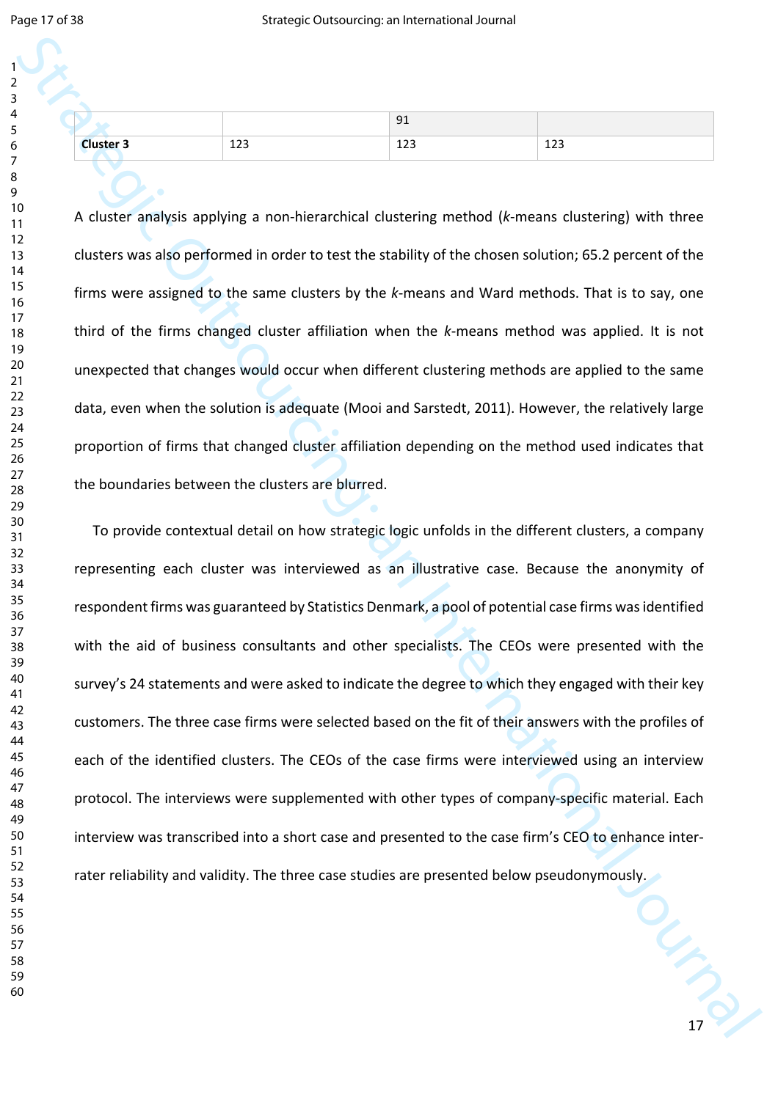| 1                                         |
|-------------------------------------------|
| ,                                         |
|                                           |
| ξ                                         |
| 4                                         |
|                                           |
| 5                                         |
| 6                                         |
|                                           |
|                                           |
| 8                                         |
| J<br>ĺ                                    |
| 10                                        |
|                                           |
| $\mathbf{1}$<br>1                         |
| $\mathbf{1}$<br>2                         |
| $\mathbf{1}$<br>3                         |
|                                           |
| $\mathbf{1}$<br>4                         |
| 15                                        |
|                                           |
| 16                                        |
| 1                                         |
| 18                                        |
|                                           |
| 19                                        |
| 20                                        |
| $\overline{21}$                           |
|                                           |
| $\overline{2}$<br>2                       |
| $\overline{2}$<br>$\overline{\mathbf{3}}$ |
| $\frac{24}{3}$                            |
|                                           |
| 25                                        |
| $\frac{26}{5}$                            |
|                                           |
| 27                                        |
| 28                                        |
| 29                                        |
|                                           |
| 80                                        |
| $\overline{\mathbf{3}}$                   |
| $\overline{\mathbf{S}}$<br>2              |
|                                           |
| $\overline{\mathbf{S}}$<br>ξ              |
| 3.<br>4                                   |
| $35^{\circ}$                              |
|                                           |
| 36                                        |
| 37                                        |
|                                           |
| 88                                        |
| 39                                        |
| 40                                        |
|                                           |
| 41                                        |
| 42                                        |
| 43                                        |
|                                           |
| 44                                        |
| 45                                        |
| 46                                        |
|                                           |
| 47                                        |
| 48                                        |
|                                           |
| 49                                        |
| 50                                        |
| 51                                        |
|                                           |
| 52                                        |
| 53                                        |
| 54                                        |
|                                           |
| 55                                        |
| 56                                        |
| 57                                        |
|                                           |
| 58                                        |

|                  |                   | 91                    |           |
|------------------|-------------------|-----------------------|-----------|
| <b>Cluster 3</b> | $\sim$<br>n<br>ᅭᄼ | $\overline{1}$<br>دعد | 122<br>ᅶᄼ |

A cluster analysis applying a non-hierarchical clustering method (*k*-means clustering) with three clusters was also performed in order to test the stability of the chosen solution; 65.2 percent of the firms were assigned to the same clusters by the *k*-means and Ward methods. That is to say, one third of the firms changed cluster affiliation when the *k*-means method was applied. It is not unexpected that changes would occur when different clustering methods are applied to the same data, even when the solution is adequate (Mooi and Sarstedt, 2011). However, the relatively large proportion of firms that changed cluster affiliation depending on the method used indicates that the boundaries between the clusters are blurred.

Strategie and the content of outsources of the strategic Outsources of the strategic Outsource of the strategic Outsource of the strategic Outsource of the strategic Outsource of the strategic Outsource of the strategic O To provide contextual detail on how strategic logic unfolds in the different clusters, a company representing each cluster was interviewed as an illustrative case. Because the anonymity of respondent firms was guaranteed by Statistics Denmark, a pool of potential case firms was identified with the aid of business consultants and other specialists. The CEOs were presented with the survey's 24 statements and were asked to indicate the degree to which they engaged with their key customers. The three case firms were selected based on the fit of their answers with the profiles of each of the identified clusters. The CEOs of the case firms were interviewed using an interview protocol. The interviews were supplemented with other types of company-specific material. Each interview was transcribed into a short case and presented to the case firm's CEO to enhance interrater reliability and validity. The three case studies are presented below pseudonymously.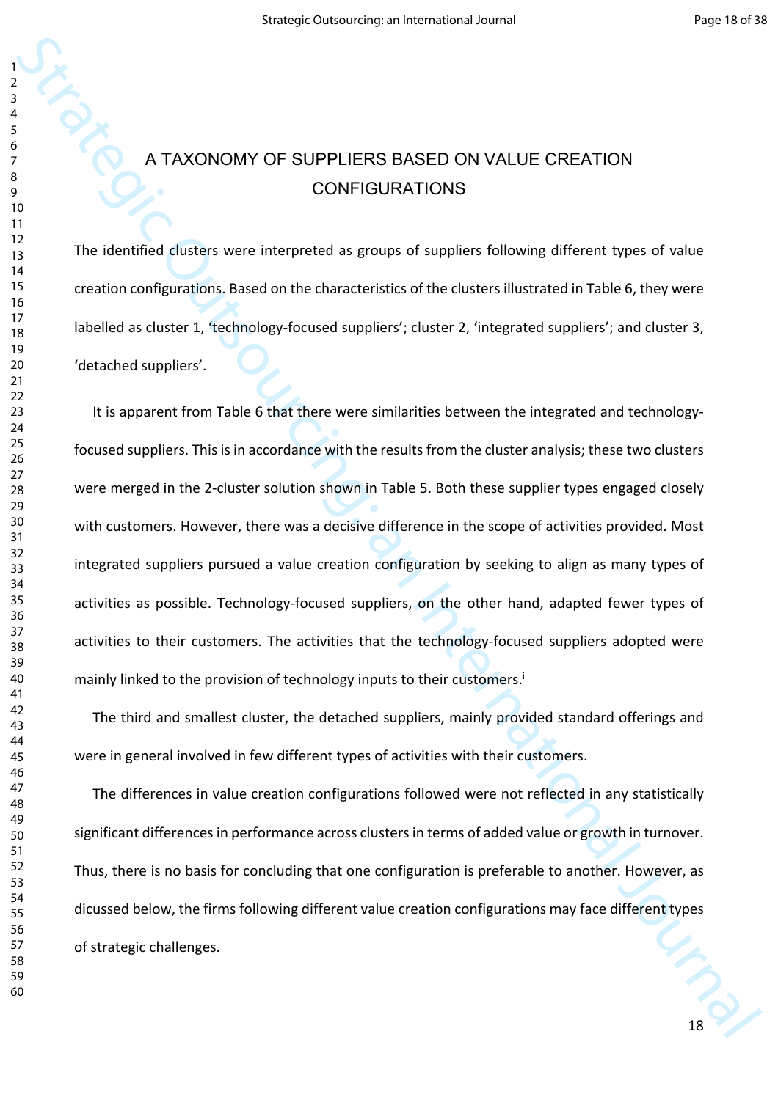# A TAXONOMY OF SUPPLIERS BASED ON VALUE CREATION CONFIGURATIONS

The identified clusters were interpreted as groups of suppliers following different types of value creation configurations. Based on the characteristics of the clusters illustrated in Table 6, they were labelled as cluster 1, 'technology-focused suppliers'; cluster 2, 'integrated suppliers'; and cluster 3, 'detached suppliers'.

Strategic International Strategic ON VALUE CREATION<br>
SCRIPTIONS<br>
The identities distincts were internated as groups of suppliers following different types of solution<br>
2 The identities distincts were internated as groups o It is apparent from Table 6 that there were similarities between the integrated and technologyfocused suppliers. This is in accordance with the results from the cluster analysis; these two clusters were merged in the 2-cluster solution shown in Table 5. Both these supplier types engaged closely with customers. However, there was a decisive difference in the scope of activities provided. Most integrated suppliers pursued a value creation configuration by seeking to align as many types of activities as possible. Technology-focused suppliers, on the other hand, adapted fewer types of activities to their customers. The activities that the technology-focused suppliers adopted were mainly linked to the provision of technology inputs to their customers.<sup>i</sup>

The third and smallest cluster, the detached suppliers, mainly provided standard offerings and were in general involved in few different types of activities with their customers.

The differences in value creation configurations followed were not reflected in any statistically significant differences in performance across clusters in terms of added value or growth in turnover. Thus, there is no basis for concluding that one configuration is preferable to another. However, as dicussed below, the firms following different value creation configurations may face different types of strategic challenges.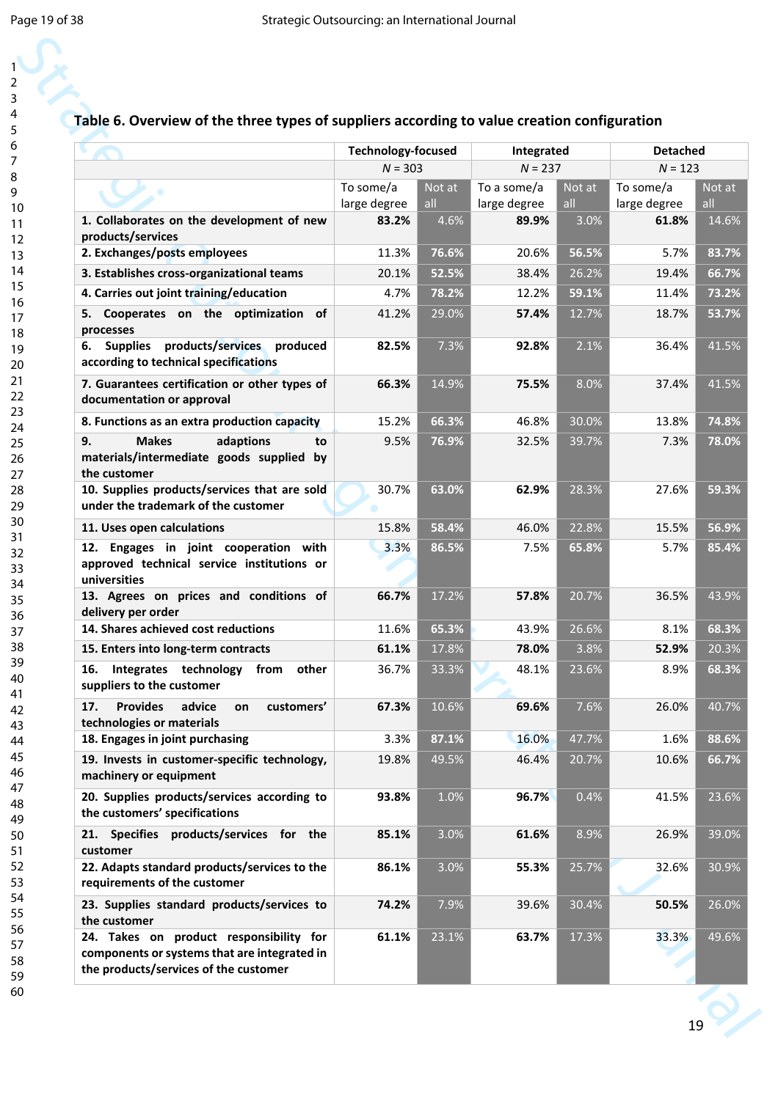# **Table 6. Overview of the three types of suppliers according to value creation configuration**

| Table 6. Overview of the three types of suppliers according to value creation configuration                                      |                           |               |                             |               |                           |               |
|----------------------------------------------------------------------------------------------------------------------------------|---------------------------|---------------|-----------------------------|---------------|---------------------------|---------------|
|                                                                                                                                  | <b>Technology-focused</b> |               | Integrated                  |               | <b>Detached</b>           |               |
|                                                                                                                                  | $N = 303$                 |               | $N = 237$                   |               | $N = 123$                 |               |
|                                                                                                                                  | To some/a<br>large degree | Not at<br>all | To a some/a<br>large degree | Not at<br>all | To some/a<br>large degree | Not at<br>all |
| 1. Collaborates on the development of new<br>products/services                                                                   | 83.2%                     | 4.6%          | 89.9%                       | 3.0%          | 61.8%                     |               |
| 2. Exchanges/posts employees                                                                                                     | 11.3%                     | 76.6%         | 20.6%                       | 56.5%         | 5.7%                      |               |
| 3. Establishes cross-organizational teams                                                                                        | 20.1%                     | 52.5%         | 38.4%                       | 26.2%         | 19.4%                     |               |
| 4. Carries out joint training/education                                                                                          | 4.7%                      | 78.2%         | 12.2%                       | 59.1%         | 11.4%                     |               |
| 5. Cooperates on the optimization of<br>processes                                                                                | 41.2%                     | 29.0%         | 57.4%                       | 12.7%         | 18.7%                     |               |
| products/services produced<br><b>Supplies</b><br>6.<br>according to technical specifications                                     | 82.5%                     | 7.3%          | 92.8%                       | 2.1%          | 36.4%                     |               |
| 7. Guarantees certification or other types of<br>documentation or approval                                                       | 66.3%                     | 14.9%         | 75.5%                       | 8.0%          | 37.4%                     |               |
| 8. Functions as an extra production capacity                                                                                     | 15.2%                     | 66.3%         | 46.8%                       | 30.0%         | 13.8%                     |               |
| 9.<br><b>Makes</b><br>adaptions<br>to<br>materials/intermediate goods supplied by<br>the customer                                | 9.5%                      | 76.9%         | 32.5%                       | 39.7%         | 7.3%                      |               |
| 10. Supplies products/services that are sold<br>under the trademark of the customer                                              | 30.7%                     | 63.0%         | 62.9%                       | 28.3%         | 27.6%                     |               |
| 11. Uses open calculations                                                                                                       | 15.8%                     | 58.4%         | 46.0%                       | 22.8%         | 15.5%                     |               |
| 12. Engages in joint cooperation with<br>approved technical service institutions or<br>universities                              | 3.3%                      | 86.5%         | 7.5%                        | 65.8%         | 5.7%                      |               |
| 13. Agrees on prices and conditions of<br>delivery per order                                                                     | 66.7%                     | 17.2%         | 57.8%                       | 20.7%         | 36.5%                     |               |
| 14. Shares achieved cost reductions                                                                                              | 11.6%                     | 65.3%         | 43.9%                       | 26.6%         | 8.1%                      |               |
| 15. Enters into long-term contracts                                                                                              | 61.1%                     | 17.8%         | 78.0%                       | 3.8%          | 52.9%                     |               |
| Integrates technology<br>16.<br>from<br>other<br>suppliers to the customer                                                       | 36.7%                     | 33.3%         | 48.1%                       | 23.6%         | 8.9%                      |               |
| <b>Provides</b><br>advice<br>17.<br>customers'<br>on<br>technologies or materials                                                | 67.3%                     | 10.6%         | 69.6%                       | 7.6%          | 26.0%                     |               |
| 18. Engages in joint purchasing                                                                                                  | 3.3%                      | 87.1%         | 16.0%                       | 47.7%         | 1.6%                      |               |
| 19. Invests in customer-specific technology,<br>machinery or equipment                                                           | 19.8%                     | 49.5%         | 46.4%                       | 20.7%         | 10.6%                     |               |
| 20. Supplies products/services according to<br>the customers' specifications                                                     | 93.8%                     | 1.0%          | 96.7%                       | 0.4%          | 41.5%                     |               |
| 21. Specifies products/services for the<br>customer                                                                              | 85.1%                     | 3.0%          | 61.6%                       | 8.9%          | 26.9%                     |               |
| 22. Adapts standard products/services to the<br>requirements of the customer                                                     | 86.1%                     | 3.0%          | 55.3%                       | 25.7%         | 32.6%                     |               |
| 23. Supplies standard products/services to<br>the customer                                                                       | 74.2%                     | 7.9%          | 39.6%                       | 30.4%         | 50.5%                     |               |
| 24. Takes on product responsibility for<br>components or systems that are integrated in<br>the products/services of the customer | 61.1%                     | 23.1%         | 63.7%                       | 17.3%         | 33.3%                     |               |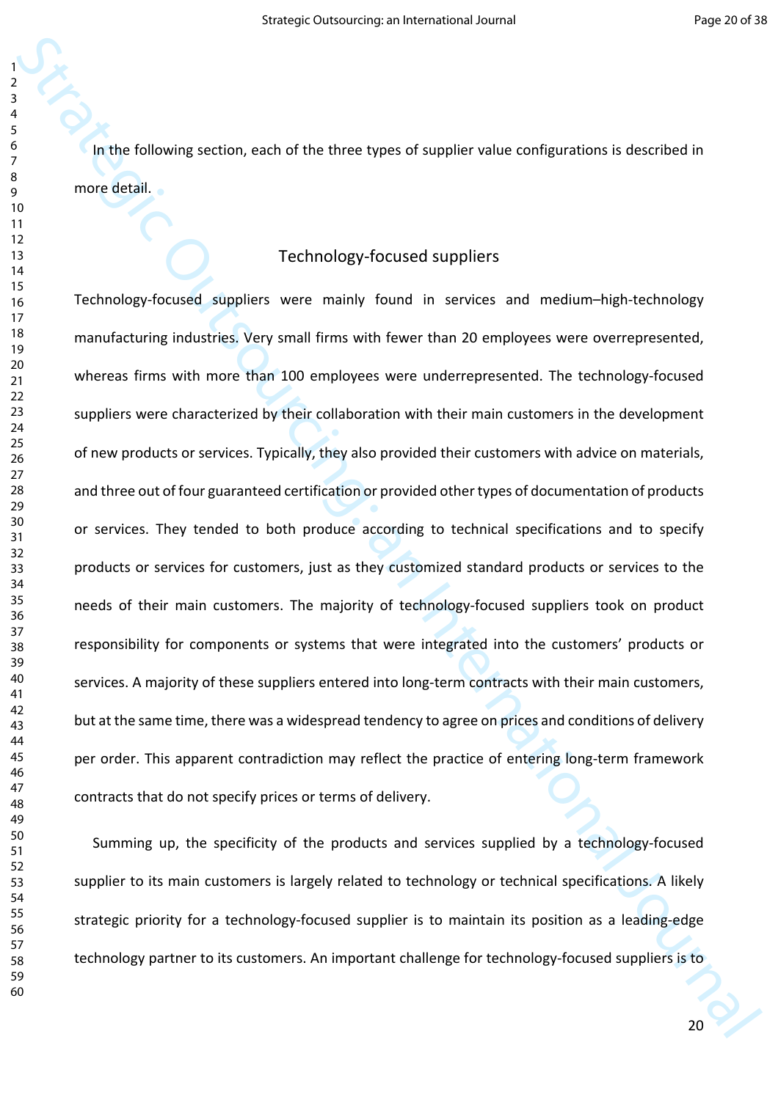In the following section, each of the three types of supplier value configurations is described in more detail.

# Technology-focused suppliers

Strategic outsourcing: and the Urer spies of supplier value configurations is described in<br>
Trichnology forced suppliers<br>
Trichnology forced suppliers<br>
Trichnology forced suppliers<br>
Trichnology forced suppliers<br>
Trichnolog Technology-focused suppliers were mainly found in services and medium–high-technology manufacturing industries. Very small firms with fewer than 20 employees were overrepresented, whereas firms with more than 100 employees were underrepresented. The technology-focused suppliers were characterized by their collaboration with their main customers in the development of new products or services. Typically, they also provided their customers with advice on materials, and three out of four guaranteed certification or provided other types of documentation of products or services. They tended to both produce according to technical specifications and to specify products or services for customers, just as they customized standard products or services to the needs of their main customers. The majority of technology-focused suppliers took on product responsibility for components or systems that were integrated into the customers' products or services. A majority of these suppliers entered into long-term contracts with their main customers, but at the same time, there was a widespread tendency to agree on prices and conditions of delivery per order. This apparent contradiction may reflect the practice of entering long-term framework contracts that do not specify prices or terms of delivery.

Summing up, the specificity of the products and services supplied by a technology-focused supplier to its main customers is largely related to technology or technical specifications. A likely strategic priority for a technology-focused supplier is to maintain its position as a leading-edge technology partner to its customers. An important challenge for technology-focused suppliers is to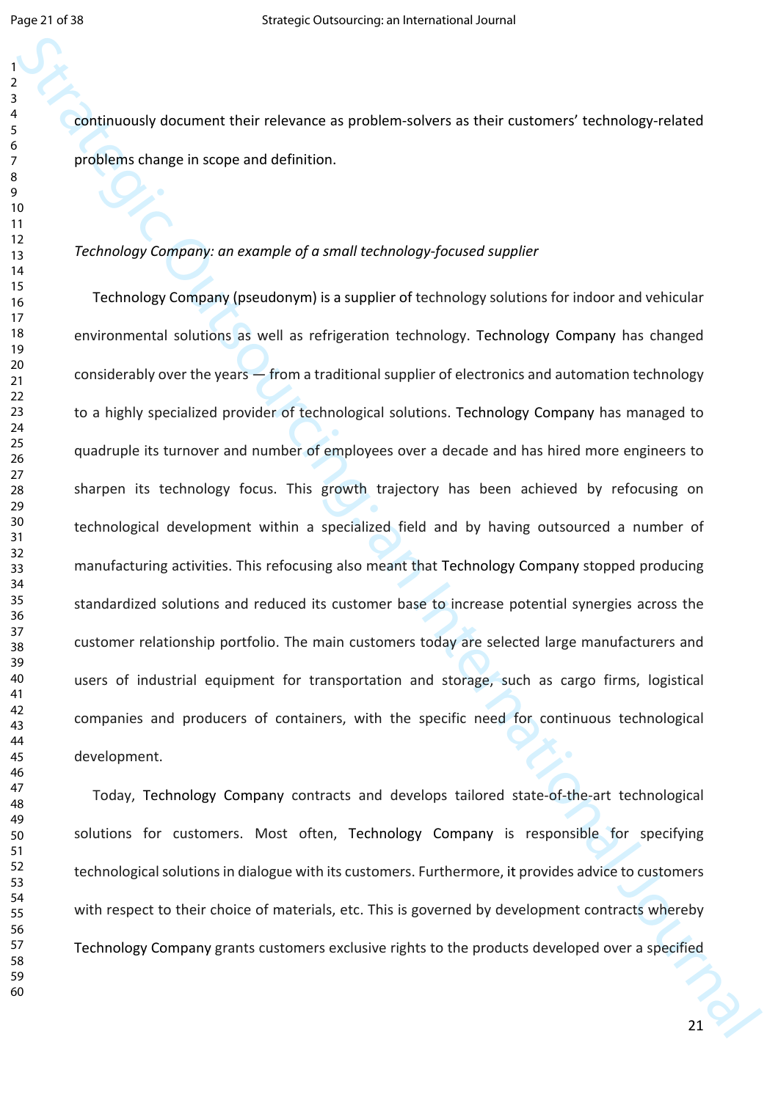continuously document their relevance as problem-solvers as their customers' technology-related problems change in scope and definition.

#### *Technology Company: an example of a small technology-focused supplier*

Strategic outsourcing: the main of the strategic Outsourcing: and the strategic Outsourcing and the strategic<br>
Strategic Outsourcing: his strategic Outsourcing: an International Strategic Outsourcing: The Christian Journal Technology Company (pseudonym) is a supplier of technology solutions for indoor and vehicular environmental solutions as well as refrigeration technology. Technology Company has changed considerably over the years — from a traditional supplier of electronics and automation technology to a highly specialized provider of technological solutions. Technology Company has managed to quadruple its turnover and number of employees over a decade and has hired more engineers to sharpen its technology focus. This growth trajectory has been achieved by refocusing on technological development within a specialized field and by having outsourced a number of manufacturing activities. This refocusing also meant that Technology Company stopped producing standardized solutions and reduced its customer base to increase potential synergies across the customer relationship portfolio. The main customers today are selected large manufacturers and users of industrial equipment for transportation and storage, such as cargo firms, logistical companies and producers of containers, with the specific need for continuous technological development.

Today, Technology Company contracts and develops tailored state-of-the-art technological solutions for customers. Most often, Technology Company is responsible for specifying technological solutions in dialogue with its customers. Furthermore, it provides advice to customers with respect to their choice of materials, etc. This is governed by development contracts whereby Technology Company grants customers exclusive rights to the products developed over a specified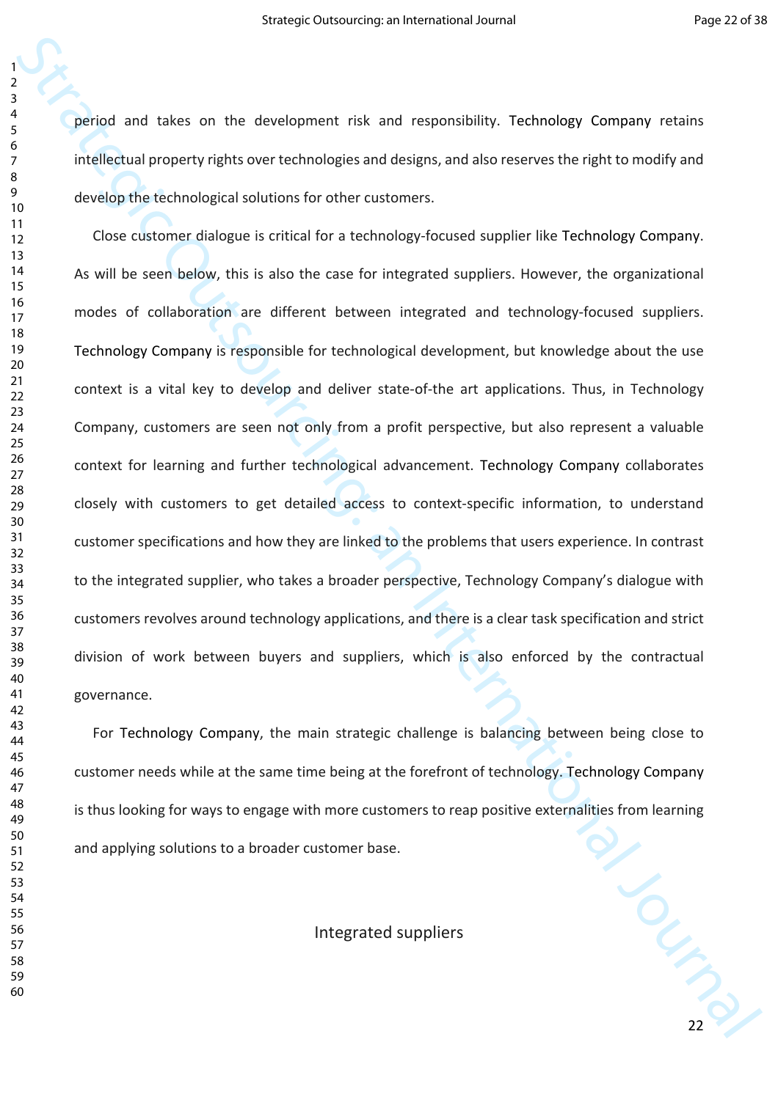period and takes on the development risk and responsibility. Technology Company retains intellectual property rights over technologies and designs, and also reserves the right to modify and develop the technological solutions for other customers.

Strategic And Caterial and the discussion of the strategic or the controller strategies of the strategies and discussions the restricted of the strategic or the strategic or the strategic or the strategic outsourcing devel Close customer dialogue is critical for a technology-focused supplier like Technology Company. As will be seen below, this is also the case for integrated suppliers. However, the organizational modes of collaboration are different between integrated and technology-focused suppliers. Technology Company is responsible for technological development, but knowledge about the use context is a vital key to develop and deliver state-of-the art applications. Thus, in Technology Company, customers are seen not only from a profit perspective, but also represent a valuable context for learning and further technological advancement. Technology Company collaborates closely with customers to get detailed access to context-specific information, to understand customer specifications and how they are linked to the problems that users experience. In contrast to the integrated supplier, who takes a broader perspective, Technology Company's dialogue with customers revolves around technology applications, and there is a clear task specification and strict division of work between buyers and suppliers, which is also enforced by the contractual governance.

For Technology Company, the main strategic challenge is balancing between being close to customer needs while at the same time being at the forefront of technology. Technology Company is thus looking for ways to engage with more customers to reap positive externalities from learning and applying solutions to a broader customer base.

Integrated suppliers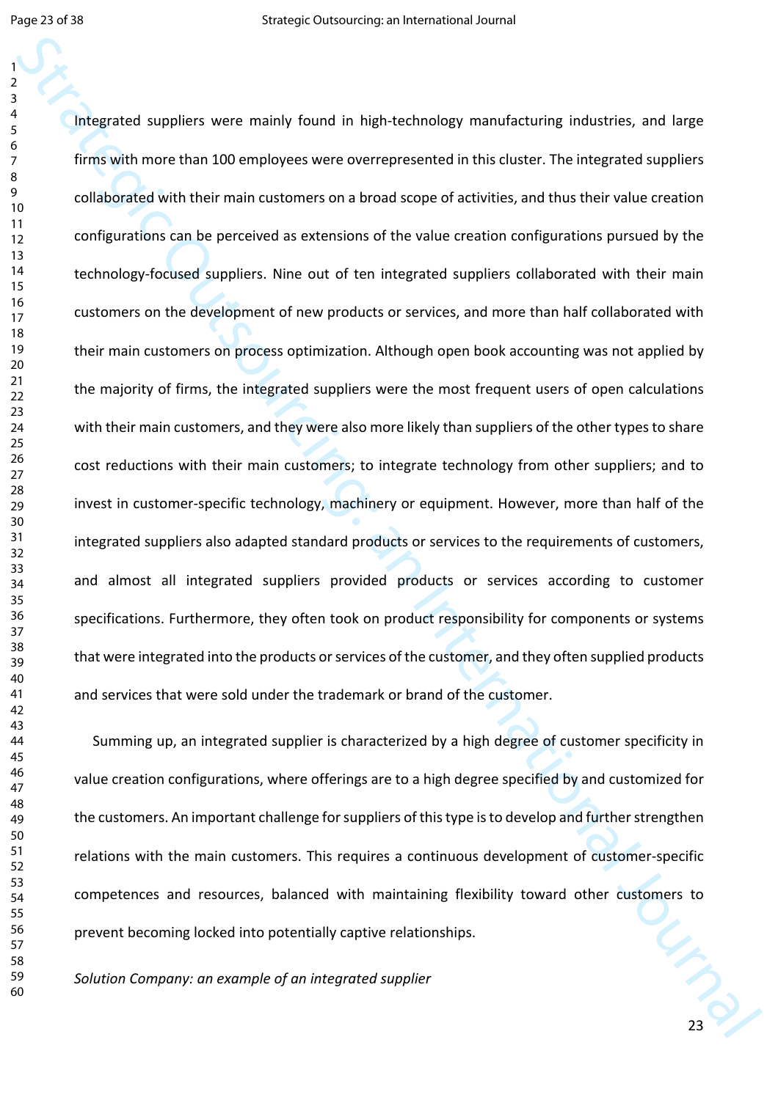The parallel suppliers were mainly found in high-technology manufacturing industries, and large<br>
similation from the main of the main of the value of the value of the value of the value of the value of<br>
configurations can Integrated suppliers were mainly found in high-technology manufacturing industries, and large firms with more than 100 employees were overrepresented in this cluster. The integrated suppliers collaborated with their main customers on a broad scope of activities, and thus their value creation configurations can be perceived as extensions of the value creation configurations pursued by the technology-focused suppliers. Nine out of ten integrated suppliers collaborated with their main customers on the development of new products or services, and more than half collaborated with their main customers on process optimization. Although open book accounting was not applied by the majority of firms, the integrated suppliers were the most frequent users of open calculations with their main customers, and they were also more likely than suppliers of the other types to share cost reductions with their main customers; to integrate technology from other suppliers; and to invest in customer-specific technology, machinery or equipment. However, more than half of the integrated suppliers also adapted standard products or services to the requirements of customers, and almost all integrated suppliers provided products or services according to customer specifications. Furthermore, they often took on product responsibility for components or systems that were integrated into the products or services of the customer, and they often supplied products and services that were sold under the trademark or brand of the customer.

1/20 Summing up, an integrated supplier is characterized by a high degree of customer specificity in value creation configurations, where offerings are to a high degree specified by and customized for the customers. An important challenge for suppliers of this type is to develop and further strengthen relations with the main customers. This requires a continuous development of customer-specific competences and resources, balanced with maintaining flexibility toward other customers to prevent becoming locked into potentially captive relationships.

*Solution Company: an example of an integrated supplier*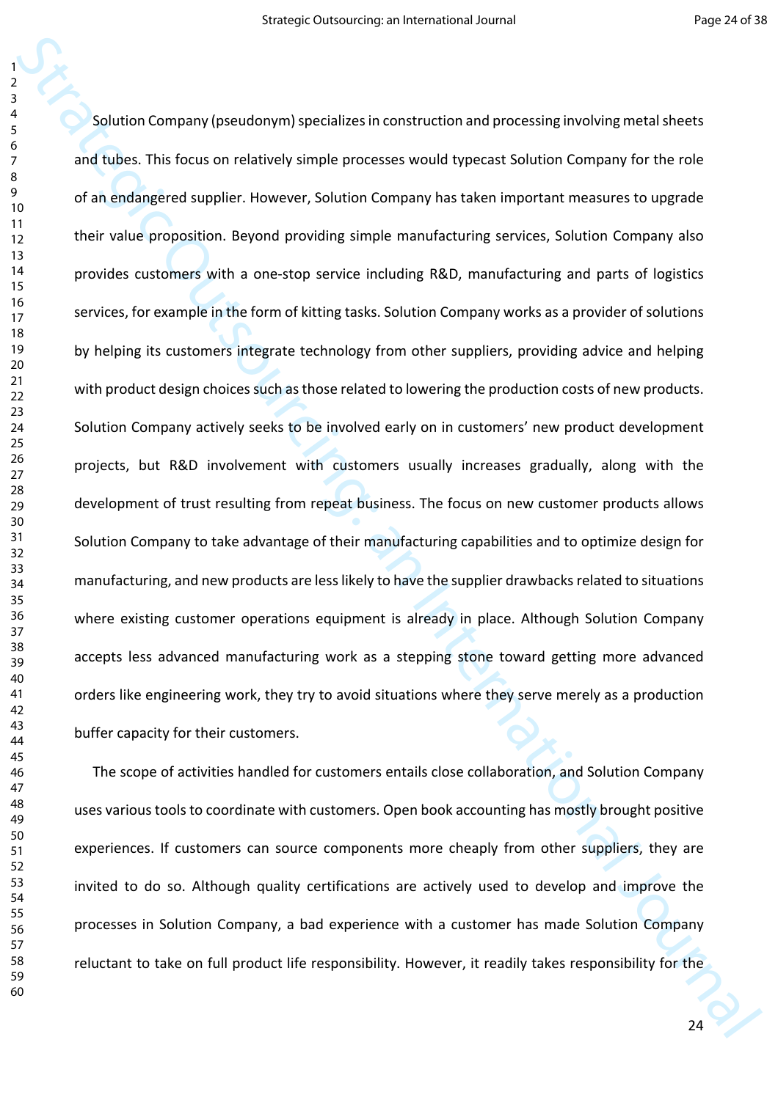Solution Company phenologying partializes in construction and processing involving metal sheets<br>and tubes. This focus on relatively simple processes would typerast Solution Company for the relative<br>and tubes this focus on Solution Company (pseudonym) specializes in construction and processing involving metal sheets and tubes. This focus on relatively simple processes would typecast Solution Company for the role of an endangered supplier. However, Solution Company has taken important measures to upgrade their value proposition. Beyond providing simple manufacturing services, Solution Company also provides customers with a one-stop service including R&D, manufacturing and parts of logistics services, for example in the form of kitting tasks. Solution Company works as a provider of solutions by helping its customers integrate technology from other suppliers, providing advice and helping with product design choices such as those related to lowering the production costs of new products. Solution Company actively seeks to be involved early on in customers' new product development projects, but R&D involvement with customers usually increases gradually, along with the development of trust resulting from repeat business. The focus on new customer products allows Solution Company to take advantage of their manufacturing capabilities and to optimize design for manufacturing, and new products are less likely to have the supplier drawbacks related to situations where existing customer operations equipment is already in place. Although Solution Company accepts less advanced manufacturing work as a stepping stone toward getting more advanced orders like engineering work, they try to avoid situations where they serve merely as a production buffer capacity for their customers.

The scope of activities handled for customers entails close collaboration, and Solution Company uses various tools to coordinate with customers. Open book accounting has mostly brought positive experiences. If customers can source components more cheaply from other suppliers, they are invited to do so. Although quality certifications are actively used to develop and improve the processes in Solution Company, a bad experience with a customer has made Solution Company reluctant to take on full product life responsibility. However, it readily takes responsibility for the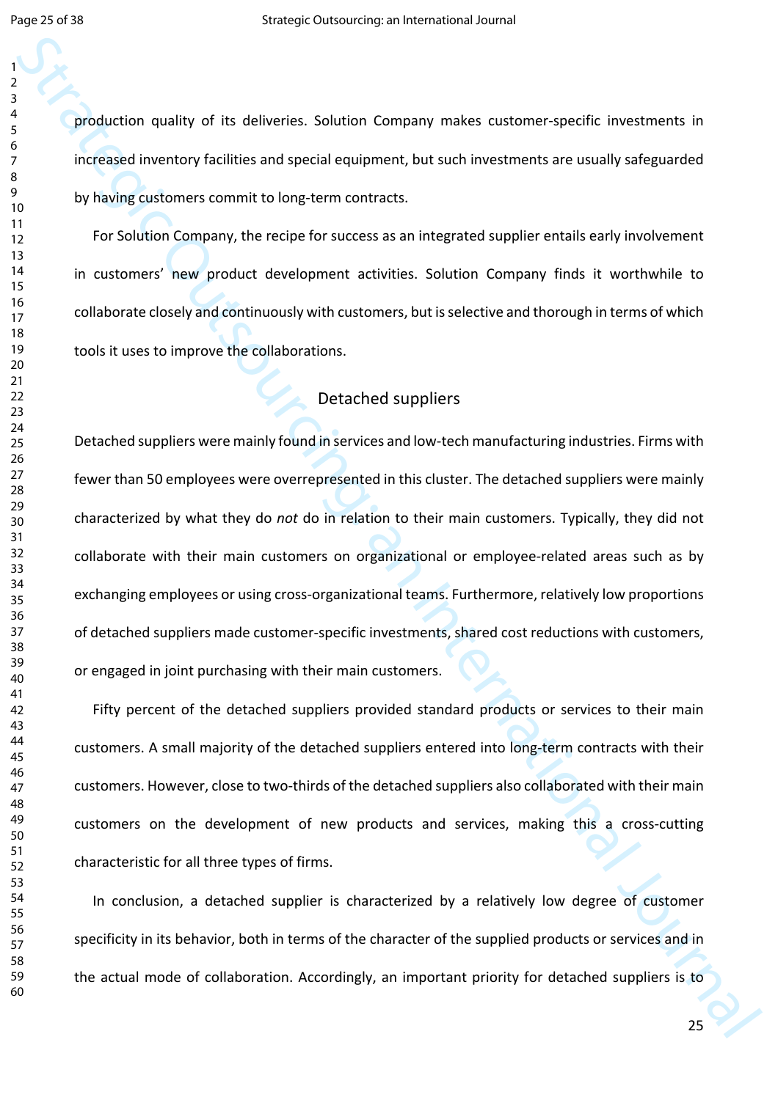production quality of its deliveries. Solution Company makes customer-specific investments in increased inventory facilities and special equipment, but such investments are usually safeguarded by having customers commit to long-term contracts.

For Solution Company, the recipe for success as an integrated supplier entails early involvement in customers' new product development activities. Solution Company finds it worthwhile to collaborate closely and continuously with customers, but is selective and thorough in terms of which tools it uses to improve the collaborations.

# Detached suppliers

Strategic of this deliveries. Solution Company makes cutionner-specific livestiments in<br>
and consider investigation of the strategic outsource, but such investments are usually safeguarded<br>
by known contenent to be a trend Detached suppliers were mainly found in services and low-tech manufacturing industries. Firms with fewer than 50 employees were overrepresented in this cluster. The detached suppliers were mainly characterized by what they do *not* do in relation to their main customers. Typically, they did not collaborate with their main customers on organizational or employee-related areas such as by exchanging employees or using cross-organizational teams. Furthermore, relatively low proportions of detached suppliers made customer-specific investments, shared cost reductions with customers, or engaged in joint purchasing with their main customers.

Fifty percent of the detached suppliers provided standard products or services to their main customers. A small majority of the detached suppliers entered into long-term contracts with their customers. However, close to two-thirds of the detached suppliers also collaborated with their main customers on the development of new products and services, making this a cross-cutting characteristic for all three types of firms.

In conclusion, a detached supplier is characterized by a relatively low degree of customer specificity in its behavior, both in terms of the character of the supplied products or services and in the actual mode of collaboration. Accordingly, an important priority for detached suppliers is to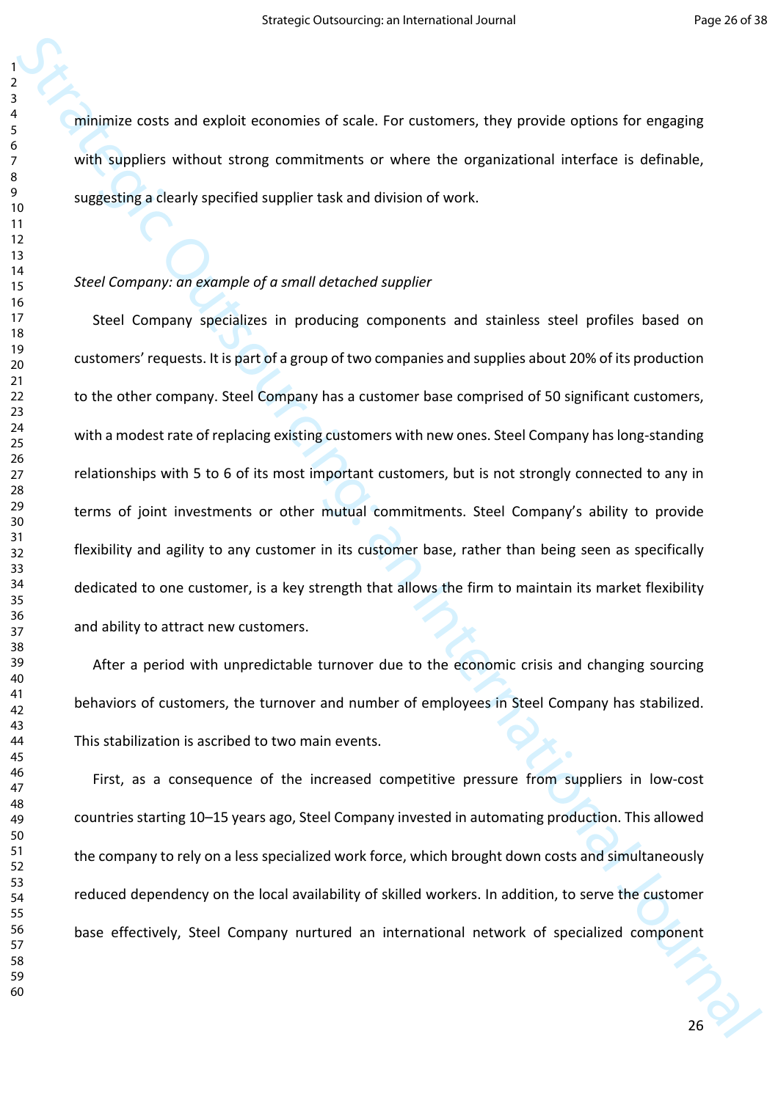minimize costs and exploit economies of scale. For customers, they provide options for engaging with suppliers without strong commitments or where the organizational interface is definable, suggesting a clearly specified supplier task and division of work.

#### *Steel Company: an example of a small detached supplier*

strategies and a strategies of scale. For customers, they provide options for engaging<br>with signifiers without strong commutencity or where the organizational interfere is definede;<br>youngersings development and and interna Steel Company specializes in producing components and stainless steel profiles based on customers' requests. It is part of a group of two companies and supplies about 20% of its production to the other company. Steel Company has a customer base comprised of 50 significant customers, with a modest rate of replacing existing customers with new ones. Steel Company has long-standing relationships with 5 to 6 of its most important customers, but is not strongly connected to any in terms of joint investments or other mutual commitments. Steel Company's ability to provide flexibility and agility to any customer in its customer base, rather than being seen as specifically dedicated to one customer, is a key strength that allows the firm to maintain its market flexibility and ability to attract new customers.

After a period with unpredictable turnover due to the economic crisis and changing sourcing behaviors of customers, the turnover and number of employees in Steel Company has stabilized. This stabilization is ascribed to two main events.

First, as a consequence of the increased competitive pressure from suppliers in low-cost countries starting 10–15 years ago, Steel Company invested in automating production. This allowed the company to rely on a less specialized work force, which brought down costs and simultaneously reduced dependency on the local availability of skilled workers. In addition, to serve the customer base effectively, Steel Company nurtured an international network of specialized component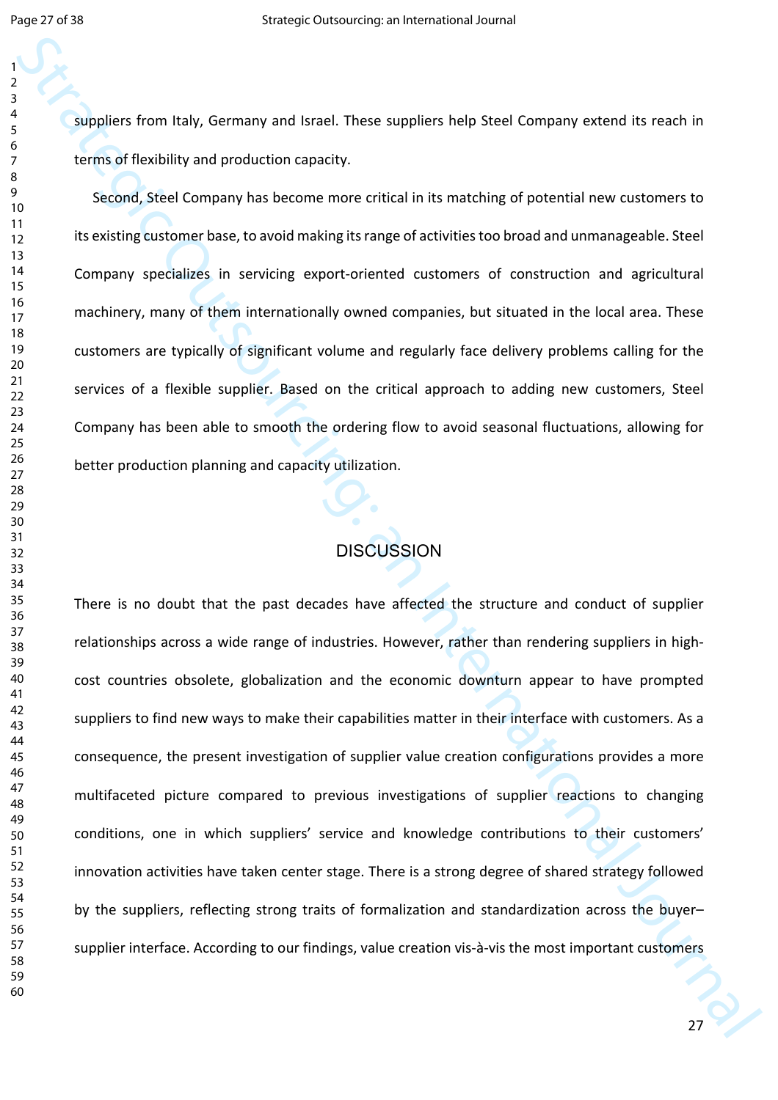suppliers from Italy, Germany and Israel. These suppliers help Steel Company extend its reach in terms of flexibility and production capacity.

Second, Steel Company has become more critical in its matching of potential new customers to its existing customer base, to avoid making its range of activities too broad and unmanageable. Steel Company specializes in servicing export-oriented customers of construction and agricultural machinery, many of them internationally owned companies, but situated in the local area. These customers are typically of significant volume and regularly face delivery problems calling for the services of a flexible supplier. Based on the critical approach to adding new customers, Steel Company has been able to smooth the ordering flow to avoid seasonal fluctuations, allowing for better production planning and capacity utilization.

# **DISCUSSION**

supplies from Italy, Germany and Israel. These supplies help Steel Company extend its reach in<br>
stranged formula, stred Company has become more critical in its motiving of potential new customers to<br>
the outsing custome ba There is no doubt that the past decades have affected the structure and conduct of supplier relationships across a wide range of industries. However, rather than rendering suppliers in highcost countries obsolete, globalization and the economic downturn appear to have prompted suppliers to find new ways to make their capabilities matter in their interface with customers. As a consequence, the present investigation of supplier value creation configurations provides a more multifaceted picture compared to previous investigations of supplier reactions to changing conditions, one in which suppliers' service and knowledge contributions to their customers' innovation activities have taken center stage. There is a strong degree of shared strategy followed by the suppliers, reflecting strong traits of formalization and standardization across the buyer– supplier interface. According to our findings, value creation vis-à-vis the most important customers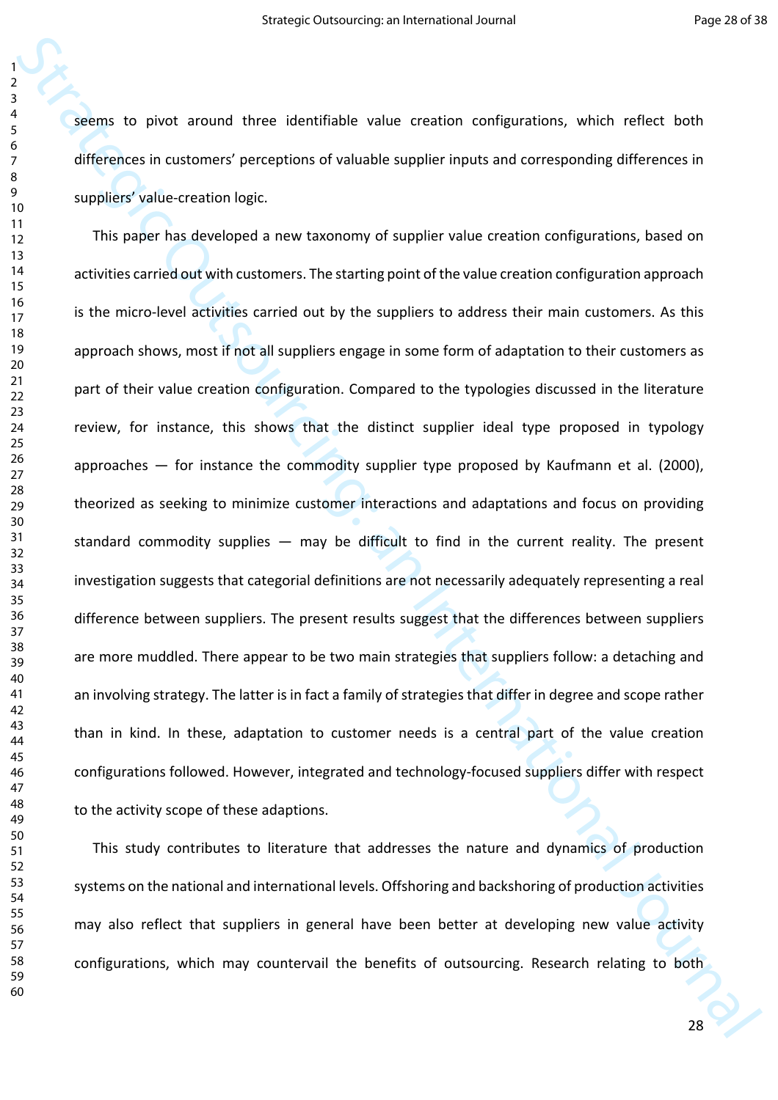seems to pivot around three identifiable value creation configurations, which reflect both differences in customers' perceptions of valuable supplier inputs and corresponding differences in suppliers' value-creation logic.

Strategic Divolution and three identifiable value creation configurations, which reliect both<br>differences in customers' preceptions of valuable supplier inputs and corresponding differences in<br>applies value creation high-<br> This paper has developed a new taxonomy of supplier value creation configurations, based on activities carried out with customers. The starting point of the value creation configuration approach is the micro-level activities carried out by the suppliers to address their main customers. As this approach shows, most if not all suppliers engage in some form of adaptation to their customers as part of their value creation configuration. Compared to the typologies discussed in the literature review, for instance, this shows that the distinct supplier ideal type proposed in typology approaches  $-$  for instance the commodity supplier type proposed by Kaufmann et al. (2000), theorized as seeking to minimize customer interactions and adaptations and focus on providing standard commodity supplies  $-$  may be difficult to find in the current reality. The present investigation suggests that categorial definitions are not necessarily adequately representing a real difference between suppliers. The present results suggest that the differences between suppliers are more muddled. There appear to be two main strategies that suppliers follow: a detaching and an involving strategy. The latter is in fact a family of strategies that differ in degree and scope rather than in kind. In these, adaptation to customer needs is a central part of the value creation configurations followed. However, integrated and technology-focused suppliers differ with respect to the activity scope of these adaptions.

This study contributes to literature that addresses the nature and dynamics of production systems on the national and international levels. Offshoring and backshoring of production activities may also reflect that suppliers in general have been better at developing new value activity configurations, which may countervail the benefits of outsourcing. Research relating to both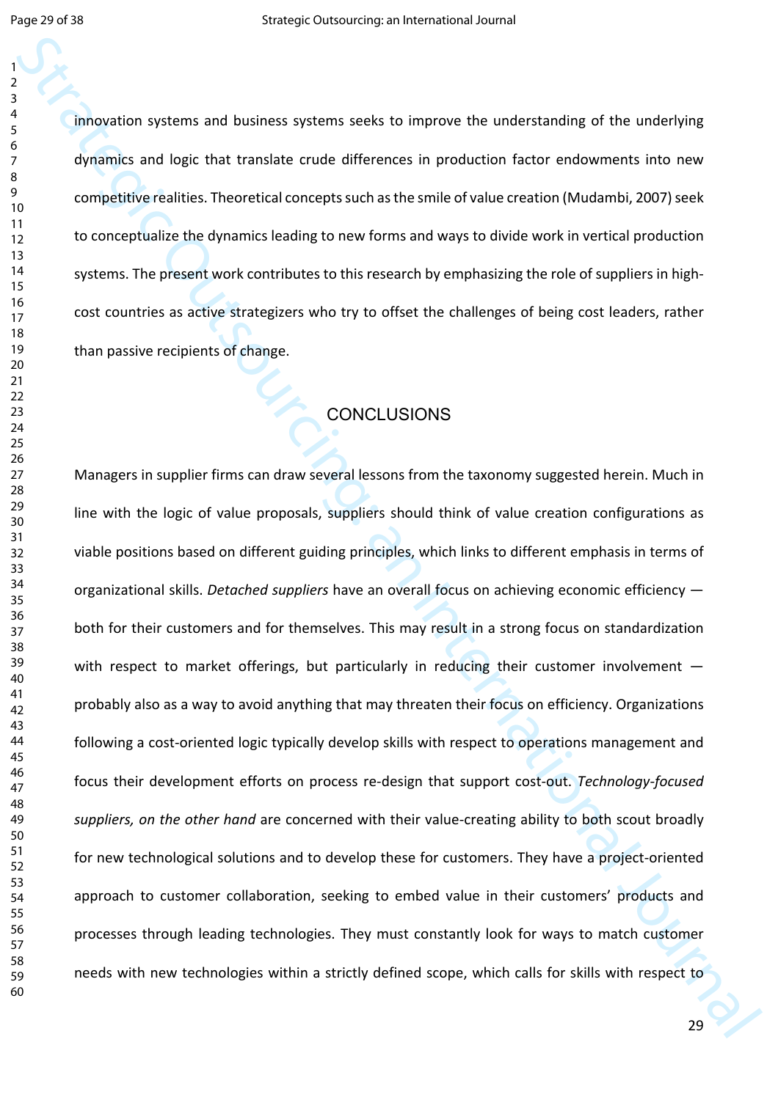innovation systems and business systems seeks to improve the understanding of the underlying dynamics and logic that translate crude differences in production factor endowments into new competitive realities. Theoretical concepts such as the smile of value creation (Mudambi, 2007) seek to conceptualize the dynamics leading to new forms and ways to divide work in vertical production systems. The present work contributes to this research by emphasizing the role of suppliers in highcost countries as active strategizers who try to offset the challenges of being cost leaders, rather than passive recipients of change.

# **CONCLUSIONS**

Strategic of the underlyinistics and business systems seeks to improve the understanding of the underlying<br>dynamics and logic that transistic crude differences in production factor discussions to new<br>dynamics and logic tha Managers in supplier firms can draw several lessons from the taxonomy suggested herein. Much in line with the logic of value proposals, suppliers should think of value creation configurations as viable positions based on different guiding principles, which links to different emphasis in terms of organizational skills. *Detached suppliers* have an overall focus on achieving economic efficiency both for their customers and for themselves. This may result in a strong focus on standardization with respect to market offerings, but particularly in reducing their customer involvement  $$ probably also as a way to avoid anything that may threaten their focus on efficiency. Organizations following a cost-oriented logic typically develop skills with respect to operations management and focus their development efforts on process re-design that support cost-out. *Technology-focused suppliers, on the other hand* are concerned with their value-creating ability to both scout broadly for new technological solutions and to develop these for customers. They have a project-oriented approach to customer collaboration, seeking to embed value in their customers' products and processes through leading technologies. They must constantly look for ways to match customer needs with new technologies within a strictly defined scope, which calls for skills with respect to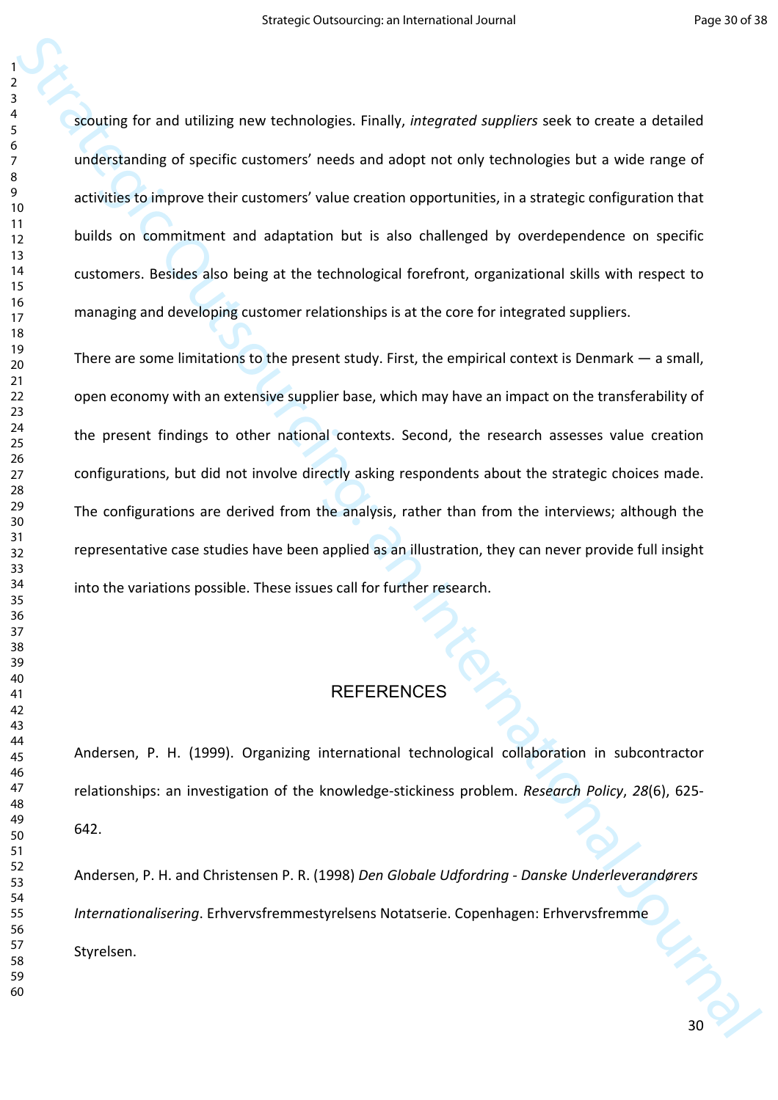scouting for and utilizing new technologies. Finally, *integrated suppliers* seek to create a detailed understanding of specific customers' needs and adopt not only technologies but a wide range of activities to improve their customers' value creation opportunities, in a strategic configuration that builds on commitment and adaptation but is also challenged by overdependence on specific customers. Besides also being at the technological forefront, organizational skills with respect to managing and developing customer relationships is at the core for integrated suppliers.

stocking for and utilizing new technologies. Finally, hiteproted suppliers seek to create a detailed<br>
understanding of specific customers' select out and detail out only rechanges but a viole ning of<br>
antiviries to improv There are some limitations to the present study. First, the empirical context is Denmark — a small, open economy with an extensive supplier base, which may have an impact on the transferability of the present findings to other national contexts. Second, the research assesses value creation configurations, but did not involve directly asking respondents about the strategic choices made. The configurations are derived from the analysis, rather than from the interviews; although the representative case studies have been applied as an illustration, they can never provide full insight into the variations possible. These issues call for further research.

# REFERENCES

Andersen, P. H. (1999). Organizing international technological collaboration in subcontractor relationships: an investigation of the knowledge-stickiness problem. *Research Policy*, *28*(6), 625- 642.

Andersen, P. H. and Christensen P. R. (1998) *Den Globale Udfordring - Danske Underleverandørers Internationalisering*. Erhvervsfremmestyrelsens Notatserie. Copenhagen: Erhvervsfremme Styrelsen.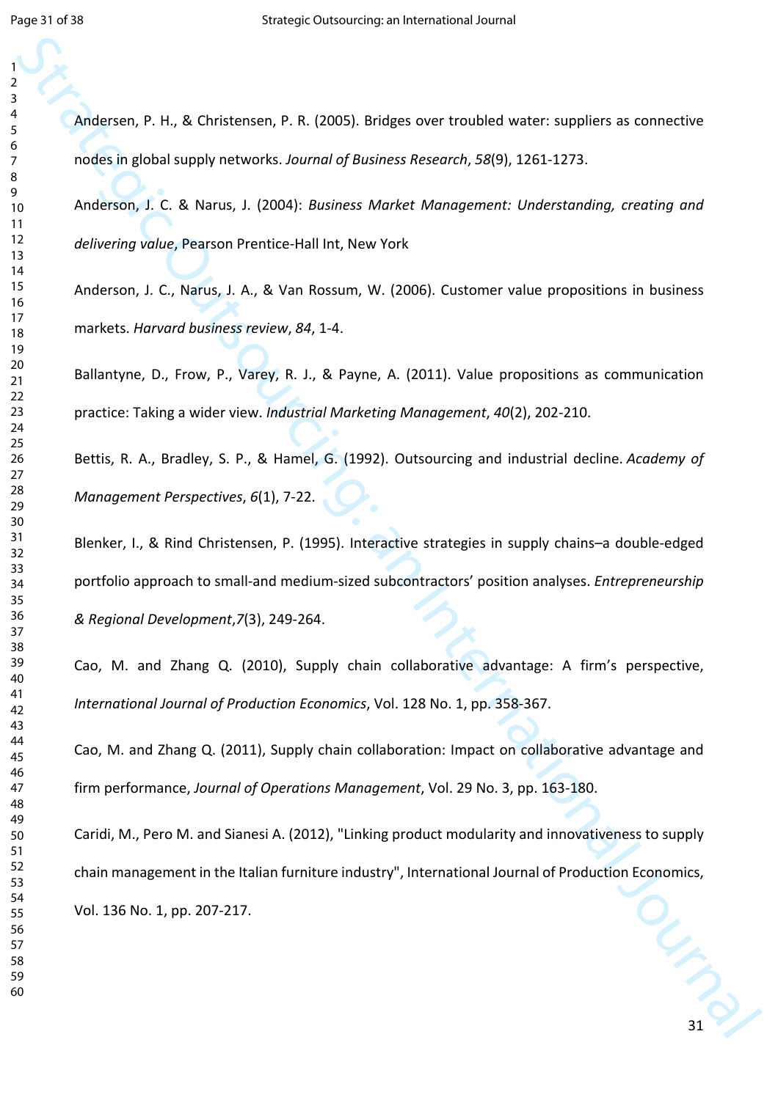Andersen, P. H., & Christensen, P. R. (2005). Bridges over troubled water: suppliers as connective nodes in global supply networks. *Journal of Business Research*, *58*(9), 1261-1273.

Anderson, J. C. & Narus, J. (2004): *Business Market Management: Understanding, creating and delivering value*, Pearson Prentice-Hall Int, New York

Anderson, J. C., Narus, J. A., & Van Rossum, W. (2006). Customer value propositions in business markets. *Harvard business review*, *84*, 1-4.

Ballantyne, D., Frow, P., Varey, R. J., & Payne, A. (2011). Value propositions as communication practice: Taking a wider view. *Industrial Marketing Management*, *40*(2), 202-210.

Bettis, R. A., Bradley, S. P., & Hamel, G. (1992). Outsourcing and industrial decline. *Academy of Management Perspectives*, *6*(1), 7-22.

Blenker, I., & Rind Christensen, P. (1995). Interactive strategies in supply chains–a double-edged portfolio approach to small-and medium-sized subcontractors' position analyses. *Entrepreneurship & Regional Development*,*7*(3), 249-264.

Cao, M. and Zhang Q. (2010), Supply chain collaborative advantage: A firm's perspective, *International Journal of Production Economics*, Vol. 128 No. 1, pp. 358-367.

Cao, M. and Zhang Q. (2011), Supply chain collaboration: Impact on collaborative advantage and firm performance, *Journal of Operations Management*, Vol. 29 No. 3, pp. 163-180.

Strategic P. H., & Christiensen, P. R. (2005). Dridges over troublest water, suppliers as connective<br>
strategic in global supply rectvores fournal of Nosencs Neversity, 58(9), 1761-1775.<br>
Anciensin, J. C. & Narus, J. (2004 LANDS Caridi, M., Pero M. and Sianesi A. (2012), "Linking product modularity and innovativeness to supply chain management in the Italian furniture industry", International Journal of Production Economics, Vol. 136 No. 1, pp. 207-217.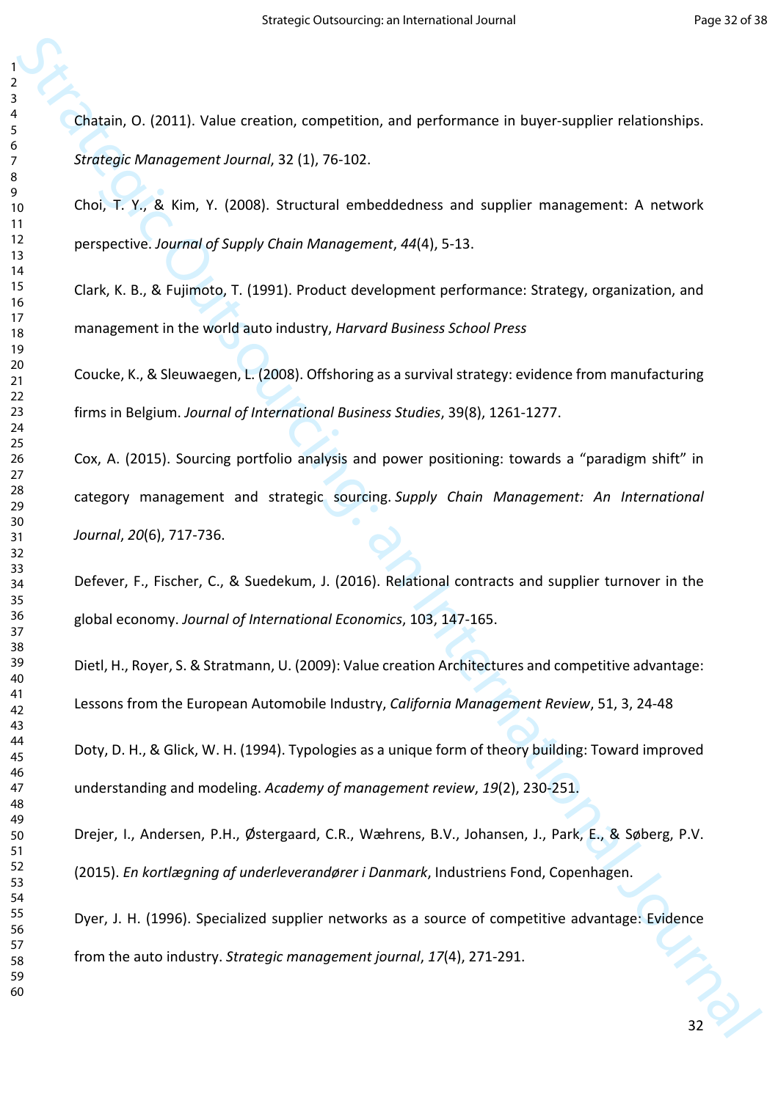Chatain, O. (2011). Value creation, competition, and performance in buyer-supplier relationships. *Strategic Management Journal*, 32 (1), 76-102.

Choi, T. Y., & Kim, Y. (2008). Structural embeddedness and supplier management: A network perspective. *Journal of Supply Chain Management*, *44*(4), 5-13.

Clark, K. B., & Fujimoto, T. (1991). Product development performance: Strategy, organization, and management in the world auto industry, *Harvard Business School Press*

Coucke, K., & Sleuwaegen, L. (2008). Offshoring as a survival strategy: evidence from manufacturing firms in Belgium. *Journal of International Business Studies*, 39(8), 1261-1277.

Chatain, O. (2011). Value creation, competition, and performance in buyer-supplier relationships.<br>
Strategic Memoporarct Journal, 32 (1), 76 102.<br>
Tool, T. Y., &, Kim, Y. (2008). Structural embeddedness and supplier manage Cox, A. (2015). Sourcing portfolio analysis and power positioning: towards a "paradigm shift" in category management and strategic sourcing. *Supply Chain Management: An International Journal*, *20*(6), 717-736.

Defever, F., Fischer, C., & Suedekum, J. (2016). Relational contracts and supplier turnover in the global economy. *Journal of International Economics*, 103, 147-165.

Dietl, H., Royer, S. & Stratmann, U. (2009): Value creation Architectures and competitive advantage: Lessons from the European Automobile Industry, *California Management Review*, 51, 3, 24-48

Doty, D. H., & Glick, W. H. (1994). Typologies as a unique form of theory building: Toward improved understanding and modeling. *Academy of management review*, *19*(2), 230-251.

Drejer, I., Andersen, P.H., Østergaard, C.R., Wæhrens, B.V., Johansen, J., Park, E., & Søberg, P.V. (2015). *En kortlægning af underleverandører i Danmark*, Industriens Fond, Copenhagen.

Dyer, J. H. (1996). Specialized supplier networks as a source of competitive advantage: Evidence from the auto industry. *Strategic management journal*, *17*(4), 271-291.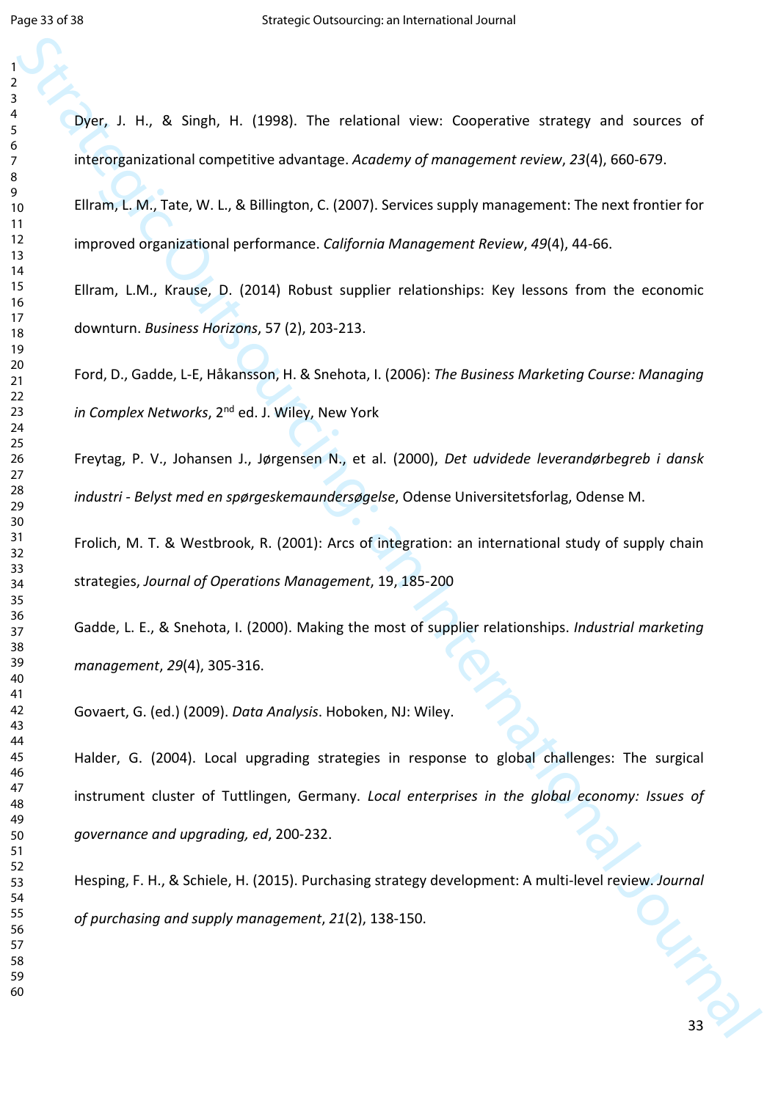Strategic Particular Contents (1988), The relational view: Cooperative strategy and sources of international computation and methods changes. According the computation of international Contents (1966) 673.<br>
Elicano, L.M., Dyer, J. H., & Singh, H. (1998). The relational view: Cooperative strategy and sources of interorganizational competitive advantage. *Academy of management review*, *23*(4), 660-679. Ellram, L. M., Tate, W. L., & Billington, C. (2007). Services supply management: The next frontier for improved organizational performance. *California Management Review*, *49*(4), 44-66. Ellram, L.M., Krause, D. (2014) Robust supplier relationships: Key lessons from the economic downturn. *Business Horizons*, 57 (2), 203-213. Ford, D., Gadde, L-E, Håkansson, H. & Snehota, I. (2006): *The Business Marketing Course: Managing in Complex Networks*, 2nd ed. J. Wiley, New York Freytag, P. V., Johansen J., Jørgensen N., et al. (2000), *Det udvidede leverandørbegreb i dansk industri - Belyst med en spørgeskemaundersøgelse*, Odense Universitetsforlag, Odense M. Frolich, M. T. & Westbrook, R. (2001): Arcs of integration: an international study of supply chain strategies, *Journal of Operations Management*, 19, 185-200 Gadde, L. E., & Snehota, I. (2000). Making the most of supplier relationships. *Industrial marketing management*, *29*(4), 305-316. Govaert, G. (ed.) (2009). *Data Analysis*. Hoboken, NJ: Wiley. Halder, G. (2004). Local upgrading strategies in response to global challenges: The surgical instrument cluster of Tuttlingen, Germany. *Local enterprises in the global economy: Issues of governance and upgrading, ed*, 200-232.

Hesping, F. H., & Schiele, H. (2015). Purchasing strategy development: A multi-level review. *Journal of purchasing and supply management*, *21*(2), 138-150.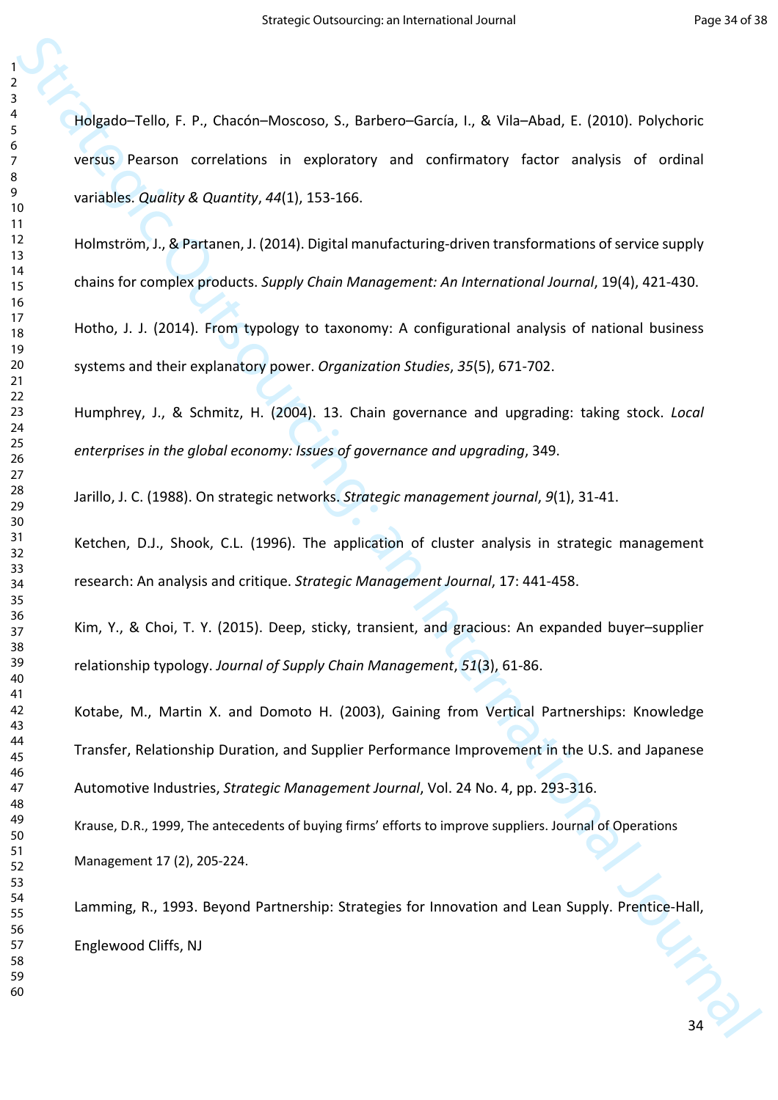Holgado–Tello, F. P., Chacón–Moscoso, S., Barbero–García, I., & Vila–Abad, E. (2010). Polychoric versus Pearson correlations in exploratory and confirmatory factor analysis of ordinal variables. *Quality & Quantity*, *44*(1), 153-166.

Holmström, J., & Partanen, J. (2014). Digital manufacturing-driven transformations of service supply chains for complex products. *Supply Chain Management: An International Journal*, 19(4), 421-430.

Hotho, J. J. (2014). From typology to taxonomy: A configurational analysis of national business systems and their explanatory power. *Organization Studies*, *35*(5), 671-702.

Humphrey, J., & Schmitz, H. (2004). 13. Chain governance and upgrading: taking stock. *Local enterprises in the global economy: Issues of governance and upgrading*, 349.

Jarillo, J. C. (1988). On strategic networks. *Strategic management journal*, *9*(1), 31-41.

Ketchen, D.J., Shook, C.L. (1996). The application of cluster analysis in strategic management research: An analysis and critique. *Strategic Management Journal*, 17: 441-458.

Kim, Y., & Choi, T. Y. (2015). Deep, sticky, transient, and gracious: An expanded buyer–supplier relationship typology. *Journal of Supply Chain Management*, *51*(3), 61-86.

Strategic Tello, F. P., Chackin-Moscovo, S., Barbero-Carola, U. & Villa-Vilaso, E. (2015). Polycharic<br>
version: Pennon: correlations: in: evaluatory and confirmatory factor analysis of ordinal<br>
versions: Revailing: Quality Kotabe, M., Martin X. and Domoto H. (2003), Gaining from Vertical Partnerships: Knowledge Transfer, Relationship Duration, and Supplier Performance Improvement in the U.S. and Japanese Automotive Industries, *Strategic Management Journal*, Vol. 24 No. 4, pp. 293-316.

Krause, D.R., 1999, The antecedents of buying firms' efforts to improve suppliers. Journal of Operations Management 17 (2), 205-224.

Lamming, R., 1993. Beyond Partnership: Strategies for Innovation and Lean Supply. Prentice-Hall, Englewood Cliffs, NJ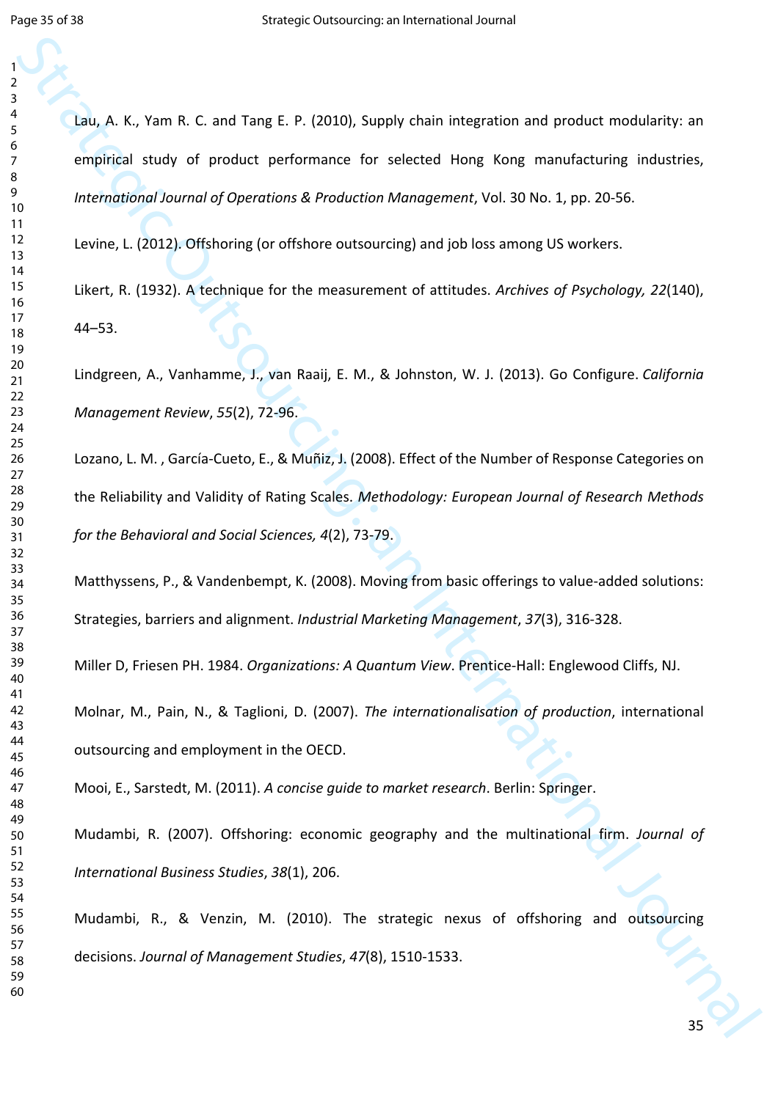State Mathematic C. and Tang E. P. (2010), Supply chain integration and product modularity: an empirical study of product performance for selected Hong Kong manufacturing inductries,<br>therefore an International Journal of O Lau, A. K., Yam R. C. and Tang E. P. (2010), Supply chain integration and product modularity: an empirical study of product performance for selected Hong Kong manufacturing industries, *International Journal of Operations & Production Management*, Vol. 30 No. 1, pp. 20-56. Levine, L. (2012). Offshoring (or offshore outsourcing) and job loss among US workers. Likert, R. (1932). A technique for the measurement of attitudes. *Archives of Psychology, 22*(140), 44–53. Lindgreen, A., Vanhamme, J., van Raaij, E. M., & Johnston, W. J. (2013). Go Configure. *California Management Review*, *55*(2), 72-96. Lozano, L. M. , García-Cueto, E., & Muñiz, J. (2008). Effect of the Number of Response Categories on the Reliability and Validity of Rating Scales. *Methodology: European Journal of Research Methods for the Behavioral and Social Sciences, 4*(2), 73-79. Matthyssens, P., & Vandenbempt, K. (2008). Moving from basic offerings to value-added solutions: Strategies, barriers and alignment. *Industrial Marketing Management*, *37*(3), 316-328. Miller D, Friesen PH. 1984. *Organizations: A Quantum View*. Prentice-Hall: Englewood Cliffs, NJ. Molnar, M., Pain, N., & Taglioni, D. (2007). *The internationalisation of production*, international outsourcing and employment in the OECD. Mooi, E., Sarstedt, M. (2011). *A concise guide to market research*. Berlin: Springer. Mudambi, R. (2007). Offshoring: economic geography and the multinational firm. *Journal of International Business Studies*, *38*(1), 206.

Mudambi, R., & Venzin, M. (2010). The strategic nexus of offshoring and outsourcing decisions. *Journal of Management Studies*, *47*(8), 1510-1533.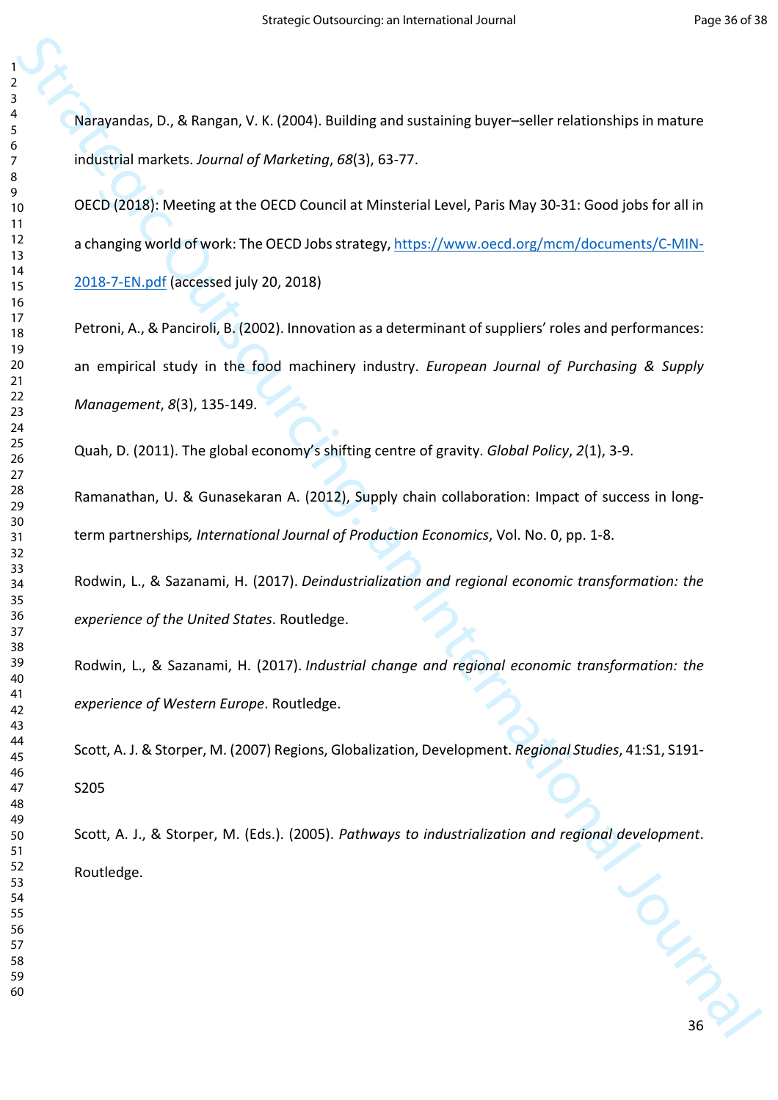Narayandas, D., & Rangan, V. K. (2004). Building and sustaining buyer–seller relationships in mature industrial markets. *Journal of Marketing*, *68*(3), 63-77.

Stateyandas, D., & Tangan, V. K. (2004). Building and sustaining buyer-relier relationships in mature<br>
individual menters, *nounni of Mathematica, 68(3), 63-77.*<br>
The control and Mathematica Computer Strategic [O](https://www.oecd.org/mcm/documents/C-MIN-2018-7-EN.pdf)utsources a OECD (2018): Meeting at the OECD Council at Minsterial Level, Paris May 30-31: Good jobs for all in a changing world of work: The OECD Jobs strategy, https://www.oecd.org/mcm/documents/C-MIN-2018-7-EN.pdf (accessed july 20, 2018)

Petroni, A., & Panciroli, B. (2002). Innovation as a determinant of suppliers' roles and performances: an empirical study in the food machinery industry. *European Journal of Purchasing & Supply Management*, *8*(3), 135-149.

Quah, D. (2011). The global economy's shifting centre of gravity. *Global Policy*, *2*(1), 3-9.

Ramanathan, U. & Gunasekaran A. (2012), Supply chain collaboration: Impact of success in longterm partnerships*, International Journal of Production Economics*, Vol. No. 0, pp. 1-8.

Rodwin, L., & Sazanami, H. (2017). *Deindustrialization and regional economic transformation: the experience of the United States*. Routledge.

Rodwin, L., & Sazanami, H. (2017). *Industrial change and regional economic transformation: the experience of Western Europe*. Routledge.

Scott, A. J. & Storper, M. (2007) Regions, Globalization, Development. *Regional Studies*, 41:S1, S191- S205

Scott, A. J., & Storper, M. (Eds.). (2005). *Pathways to industrialization and regional development*. Routledge.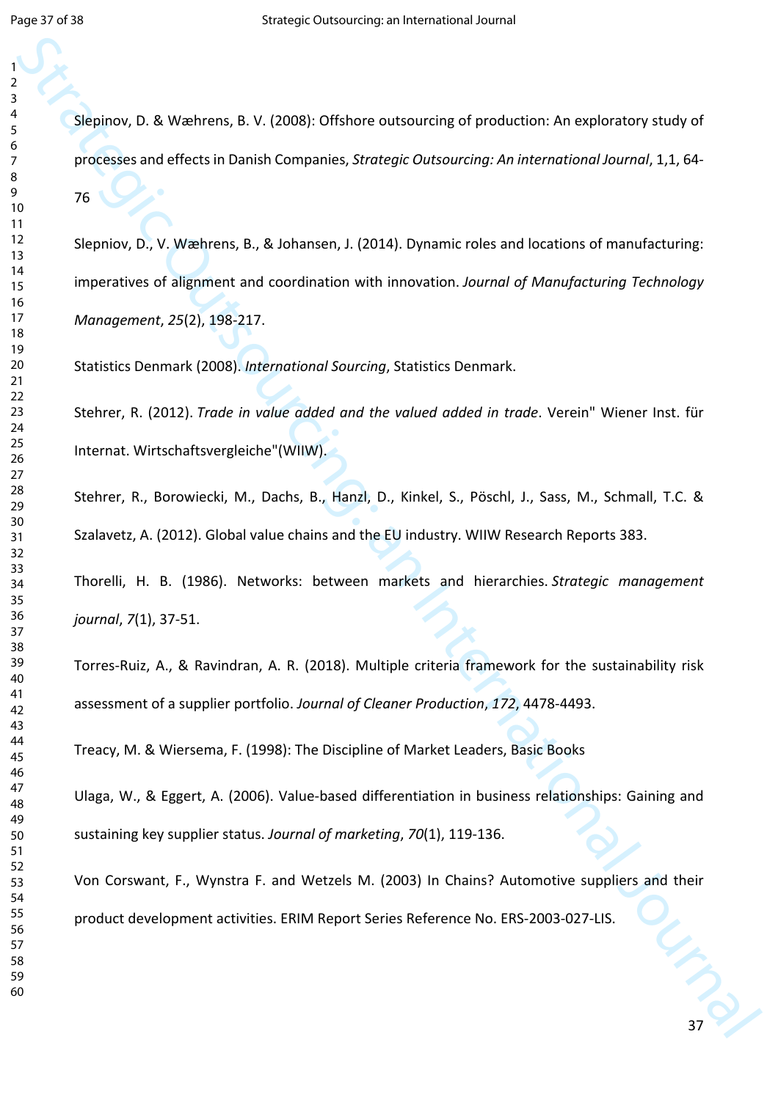Slepinov, D. & Wæhrens, B. V. (2008): Offshore outsourcing of production: An exploratory study of processes and effects in Danish Companies, *Strategic Outsourcing: An international Journal*, 1,1, 64- 

Strategic O. & Wartness, B.V. (2008). Of shower outsourcing of production. An exploratory study of<br>
strategic or offices in Usmith Companies, Strategic Outsourcing: An International Journal, 1,1,64<br>
17.<br>
Stephen, D., V. We Slepniov, D., V. Wæhrens, B., & Johansen, J. (2014). Dynamic roles and locations of manufacturing: imperatives of alignment and coordination with innovation. *Journal of Manufacturing Technology Management*, *25*(2), 198-217.

Statistics Denmark (2008). *International Sourcing*, Statistics Denmark.

Stehrer, R. (2012). *Trade in value added and the valued added in trade*. Verein" Wiener Inst. für Internat. Wirtschaftsvergleiche"(WIIW).

Stehrer, R., Borowiecki, M., Dachs, B., Hanzl, D., Kinkel, S., Pöschl, J., Sass, M., Schmall, T.C. & Szalavetz, A. (2012). Global value chains and the EU industry. WIIW Research Reports 383.

Thorelli, H. B. (1986). Networks: between markets and hierarchies. *Strategic management journal*, *7*(1), 37-51.

Torres-Ruiz, A., & Ravindran, A. R. (2018). Multiple criteria framework for the sustainability risk assessment of a supplier portfolio. *Journal of Cleaner Production*, *172*, 4478-4493.

Treacy, M. & Wiersema, F. (1998): The Discipline of Market Leaders, Basic Books

Ulaga, W., & Eggert, A. (2006). Value-based differentiation in business relationships: Gaining and sustaining key supplier status. *Journal of marketing*, *70*(1), 119-136.

Von Corswant, F., Wynstra F. and Wetzels M. (2003) In Chains? Automotive suppliers and their product development activities. ERIM Report Series Reference No. ERS-2003-027-LIS.